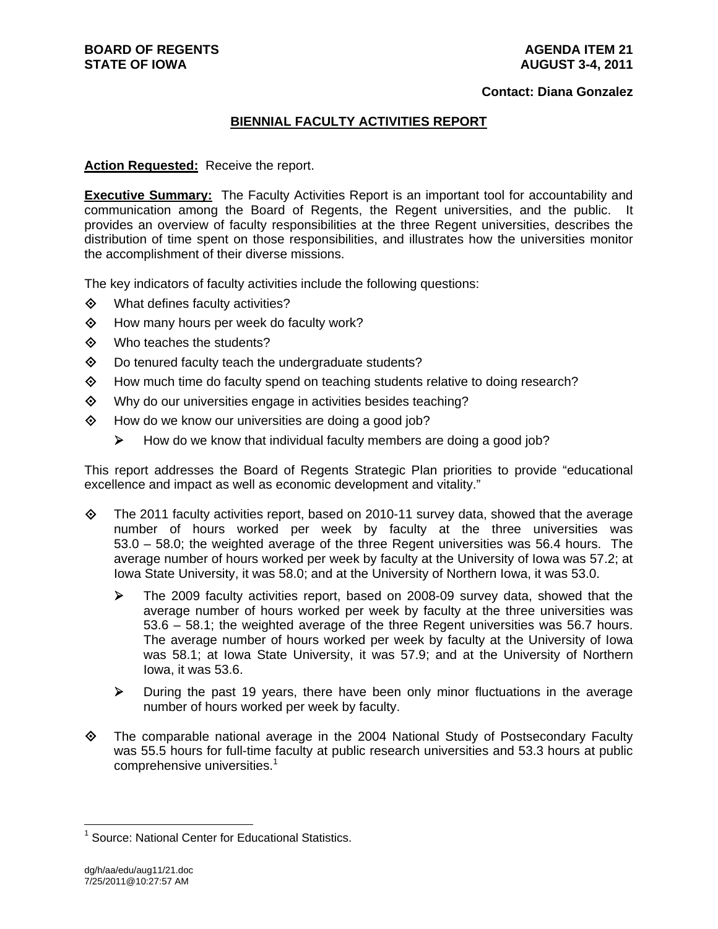### **Contact: Diana Gonzalez**

## **BIENNIAL FACULTY ACTIVITIES REPORT**

## **Action Requested:** Receive the report.

**Executive Summary:** The Faculty Activities Report is an important tool for accountability and communication among the Board of Regents, the Regent universities, and the public. It provides an overview of faculty responsibilities at the three Regent universities, describes the distribution of time spent on those responsibilities, and illustrates how the universities monitor the accomplishment of their diverse missions.

The key indicators of faculty activities include the following questions:

- $\diamond$  What defines faculty activities?
- $\diamond$  How many hours per week do faculty work?
- Who teaches the students?
- Do tenured faculty teach the undergraduate students?
- $\Diamond$  How much time do faculty spend on teaching students relative to doing research?
- Why do our universities engage in activities besides teaching?
- $\diamond$  How do we know our universities are doing a good job?
	- $\triangleright$  How do we know that individual faculty members are doing a good job?

This report addresses the Board of Regents Strategic Plan priorities to provide "educational excellence and impact as well as economic development and vitality."

- $\diamond$  The 2011 faculty activities report, based on 2010-11 survey data, showed that the average number of hours worked per week by faculty at the three universities was 53.0 – 58.0; the weighted average of the three Regent universities was 56.4 hours. The average number of hours worked per week by faculty at the University of Iowa was 57.2; at Iowa State University, it was 58.0; and at the University of Northern Iowa, it was 53.0.
	- The 2009 faculty activities report, based on 2008-09 survey data, showed that the average number of hours worked per week by faculty at the three universities was 53.6 – 58.1; the weighted average of the three Regent universities was 56.7 hours. The average number of hours worked per week by faculty at the University of Iowa was 58.1; at Iowa State University, it was 57.9; and at the University of Northern Iowa, it was 53.6.
	- $\triangleright$  During the past 19 years, there have been only minor fluctuations in the average number of hours worked per week by faculty.
- $\Diamond$  The comparable national average in the 2004 National Study of Postsecondary Faculty was 55.5 hours for full-time faculty at public research universities and 53.3 hours at public comprehensive universities.<sup>1</sup>

<sup>&</sup>lt;sup>1</sup> Source: National Center for Educational Statistics.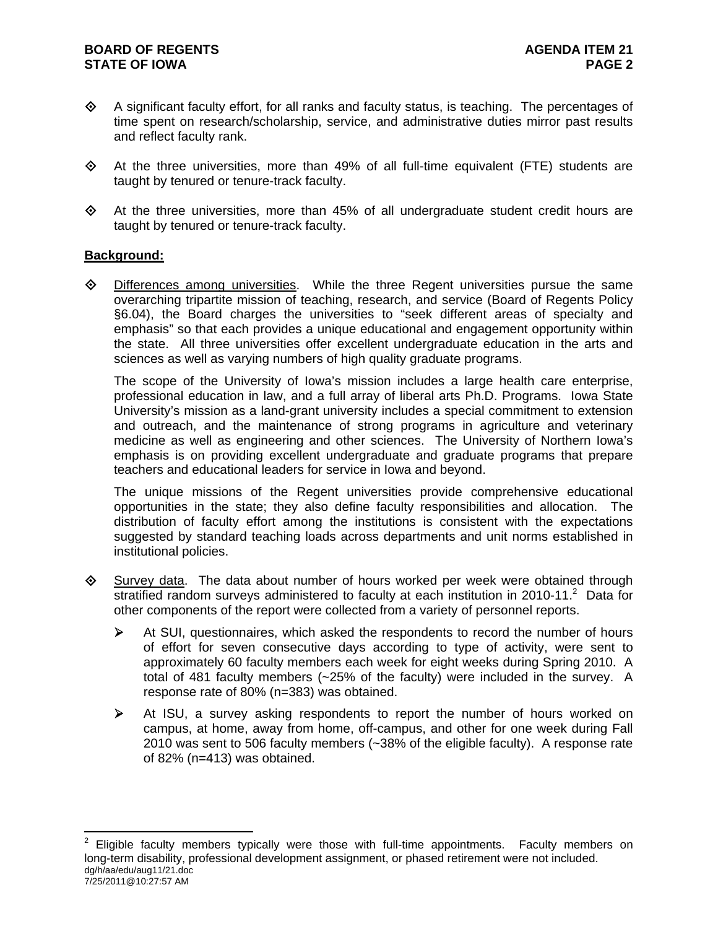- $\Diamond$  A significant faculty effort, for all ranks and faculty status, is teaching. The percentages of time spent on research/scholarship, service, and administrative duties mirror past results and reflect faculty rank.
- $\diamond$  At the three universities, more than 49% of all full-time equivalent (FTE) students are taught by tenured or tenure-track faculty.
- $\Diamond$  At the three universities, more than 45% of all undergraduate student credit hours are taught by tenured or tenure-track faculty.

## **Background:**

 $\overline{a}$ 

 $\diamond$  Differences among universities. While the three Regent universities pursue the same overarching tripartite mission of teaching, research, and service (Board of Regents Policy §6.04), the Board charges the universities to "seek different areas of specialty and emphasis" so that each provides a unique educational and engagement opportunity within the state. All three universities offer excellent undergraduate education in the arts and sciences as well as varying numbers of high quality graduate programs.

The scope of the University of Iowa's mission includes a large health care enterprise, professional education in law, and a full array of liberal arts Ph.D. Programs. Iowa State University's mission as a land-grant university includes a special commitment to extension and outreach, and the maintenance of strong programs in agriculture and veterinary medicine as well as engineering and other sciences. The University of Northern Iowa's emphasis is on providing excellent undergraduate and graduate programs that prepare teachers and educational leaders for service in Iowa and beyond.

The unique missions of the Regent universities provide comprehensive educational opportunities in the state; they also define faculty responsibilities and allocation. The distribution of faculty effort among the institutions is consistent with the expectations suggested by standard teaching loads across departments and unit norms established in institutional policies.

- $\Diamond$  Survey data. The data about number of hours worked per week were obtained through stratified random surveys administered to faculty at each institution in 2010-11. $^2$  Data for other components of the report were collected from a variety of personnel reports.
	- At SUI, questionnaires, which asked the respondents to record the number of hours of effort for seven consecutive days according to type of activity, were sent to approximately 60 faculty members each week for eight weeks during Spring 2010. A total of 481 faculty members (~25% of the faculty) were included in the survey. A response rate of 80% (n=383) was obtained.
	- $\triangleright$  At ISU, a survey asking respondents to report the number of hours worked on campus, at home, away from home, off-campus, and other for one week during Fall 2010 was sent to 506 faculty members (~38% of the eligible faculty). A response rate of 82% (n=413) was obtained.

dg/h/aa/edu/aug11/21.doc 7/25/2011@10:27:57 AM 2 Eligible faculty members typically were those with full-time appointments. Faculty members on long-term disability, professional development assignment, or phased retirement were not included.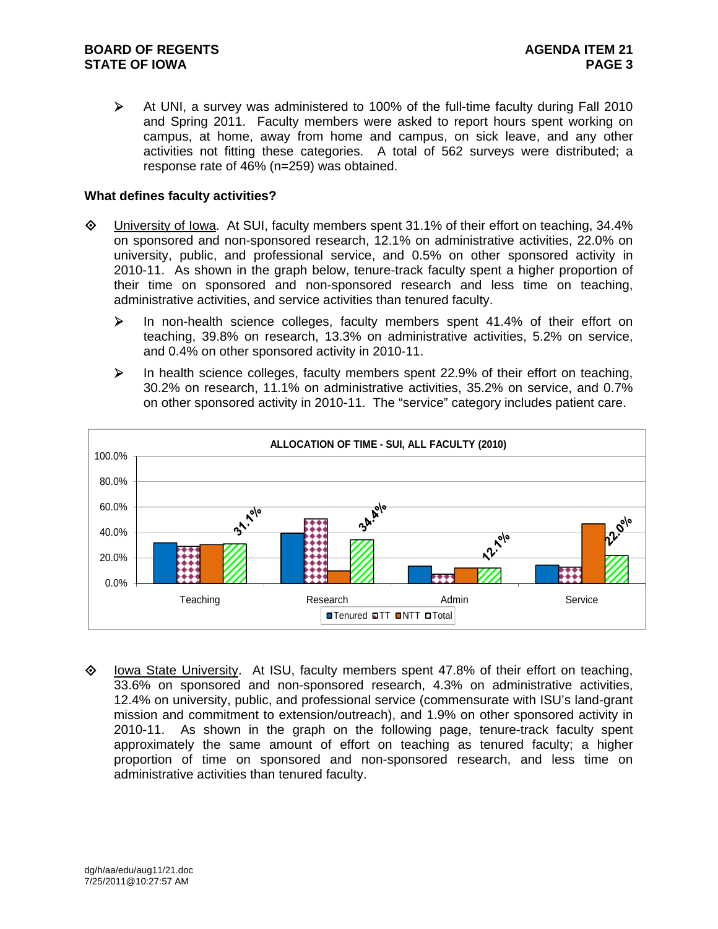$\triangleright$  At UNI, a survey was administered to 100% of the full-time faculty during Fall 2010 and Spring 2011. Faculty members were asked to report hours spent working on campus, at home, away from home and campus, on sick leave, and any other activities not fitting these categories. A total of 562 surveys were distributed; a response rate of 46% (n=259) was obtained.

## **What defines faculty activities?**

- University of Iowa. At SUI, faculty members spent 31.1% of their effort on teaching, 34.4% on sponsored and non-sponsored research, 12.1% on administrative activities, 22.0% on university, public, and professional service, and 0.5% on other sponsored activity in 2010-11. As shown in the graph below, tenure-track faculty spent a higher proportion of their time on sponsored and non-sponsored research and less time on teaching, administrative activities, and service activities than tenured faculty.
	- In non-health science colleges, faculty members spent 41.4% of their effort on teaching, 39.8% on research, 13.3% on administrative activities, 5.2% on service, and 0.4% on other sponsored activity in 2010-11.
	- $\triangleright$  In health science colleges, faculty members spent 22.9% of their effort on teaching, 30.2% on research, 11.1% on administrative activities, 35.2% on service, and 0.7% on other sponsored activity in 2010-11. The "service" category includes patient care.



♦ lowa State University. At ISU, faculty members spent 47.8% of their effort on teaching, 33.6% on sponsored and non-sponsored research, 4.3% on administrative activities, 12.4% on university, public, and professional service (commensurate with ISU's land-grant mission and commitment to extension/outreach), and 1.9% on other sponsored activity in 2010-11. As shown in the graph on the following page, tenure-track faculty spent approximately the same amount of effort on teaching as tenured faculty; a higher proportion of time on sponsored and non-sponsored research, and less time on administrative activities than tenured faculty.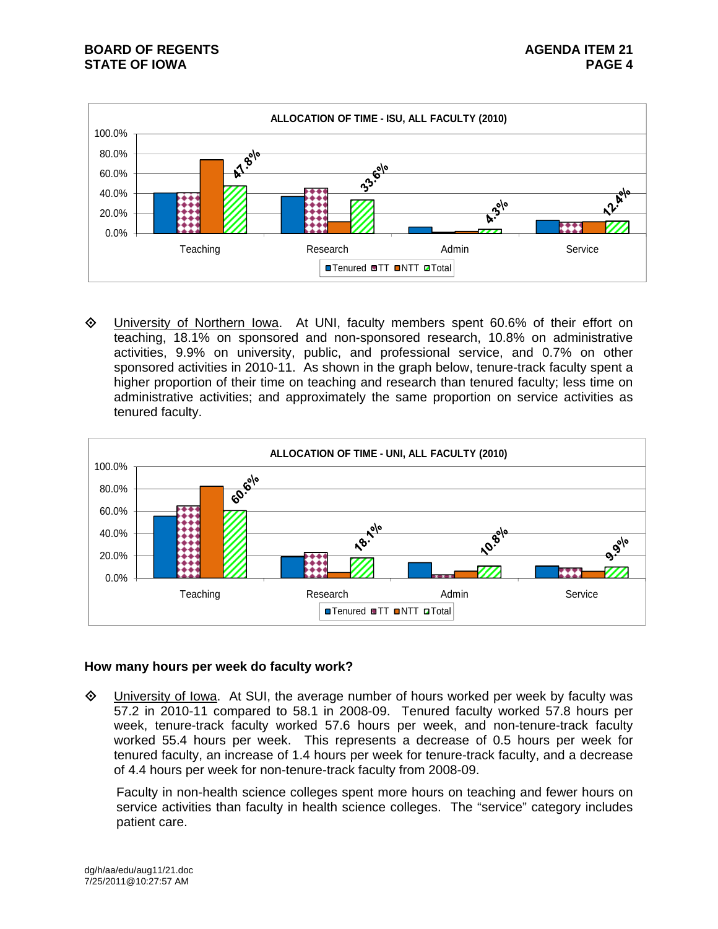

 University of Northern Iowa. At UNI, faculty members spent 60.6% of their effort on teaching, 18.1% on sponsored and non-sponsored research, 10.8% on administrative activities, 9.9% on university, public, and professional service, and 0.7% on other sponsored activities in 2010-11. As shown in the graph below, tenure-track faculty spent a higher proportion of their time on teaching and research than tenured faculty; less time on administrative activities; and approximately the same proportion on service activities as tenured faculty.



## **How many hours per week do faculty work?**

 $\Diamond$  University of Iowa. At SUI, the average number of hours worked per week by faculty was 57.2 in 2010-11 compared to 58.1 in 2008-09. Tenured faculty worked 57.8 hours per week, tenure-track faculty worked 57.6 hours per week, and non-tenure-track faculty worked 55.4 hours per week. This represents a decrease of 0.5 hours per week for tenured faculty, an increase of 1.4 hours per week for tenure-track faculty, and a decrease of 4.4 hours per week for non-tenure-track faculty from 2008-09.

Faculty in non-health science colleges spent more hours on teaching and fewer hours on service activities than faculty in health science colleges. The "service" category includes patient care.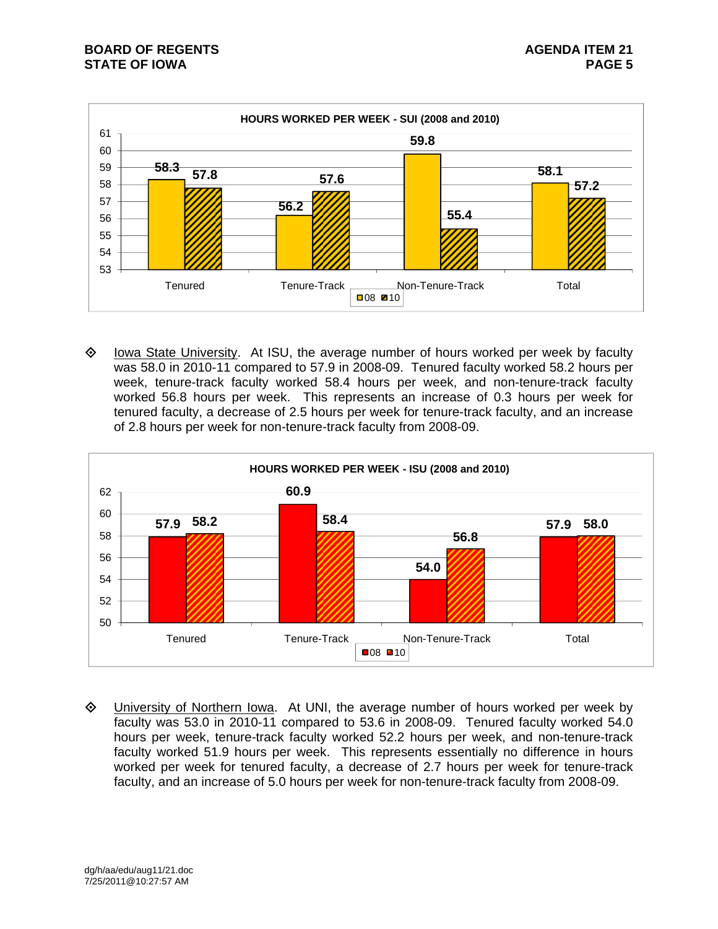

♦ lowa State University. At ISU, the average number of hours worked per week by faculty was 58.0 in 2010-11 compared to 57.9 in 2008-09. Tenured faculty worked 58.2 hours per week, tenure-track faculty worked 58.4 hours per week, and non-tenure-track faculty worked 56.8 hours per week. This represents an increase of 0.3 hours per week for tenured faculty, a decrease of 2.5 hours per week for tenure-track faculty, and an increase of 2.8 hours per week for non-tenure-track faculty from 2008-09.



**EXA University of Northern Iowa.** At UNI, the average number of hours worked per week by faculty was 53.0 in 2010-11 compared to 53.6 in 2008-09. Tenured faculty worked 54.0 hours per week, tenure-track faculty worked 52.2 hours per week, and non-tenure-track faculty worked 51.9 hours per week. This represents essentially no difference in hours worked per week for tenured faculty, a decrease of 2.7 hours per week for tenure-track faculty, and an increase of 5.0 hours per week for non-tenure-track faculty from 2008-09.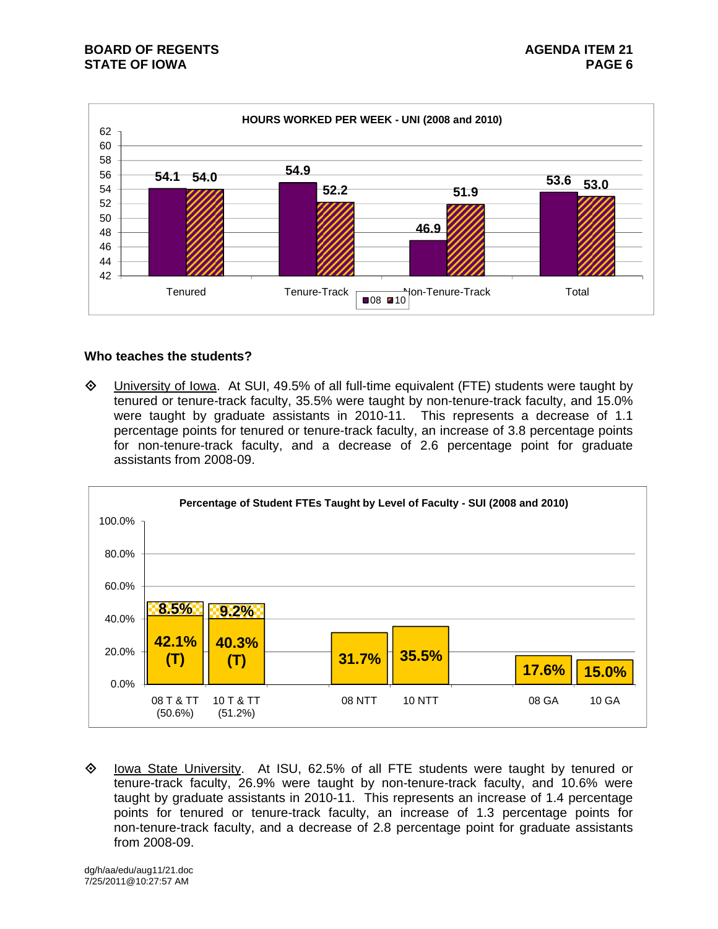

## **Who teaches the students?**

 $\Diamond$  University of Iowa. At SUI, 49.5% of all full-time equivalent (FTE) students were taught by tenured or tenure-track faculty, 35.5% were taught by non-tenure-track faculty, and 15.0% were taught by graduate assistants in 2010-11. This represents a decrease of 1.1 percentage points for tenured or tenure-track faculty, an increase of 3.8 percentage points for non-tenure-track faculty, and a decrease of 2.6 percentage point for graduate assistants from 2008-09.



 $\diamond$  Iowa State University. At ISU, 62.5% of all FTE students were taught by tenured or tenure-track faculty, 26.9% were taught by non-tenure-track faculty, and 10.6% were taught by graduate assistants in 2010-11. This represents an increase of 1.4 percentage points for tenured or tenure-track faculty, an increase of 1.3 percentage points for non-tenure-track faculty, and a decrease of 2.8 percentage point for graduate assistants from 2008-09.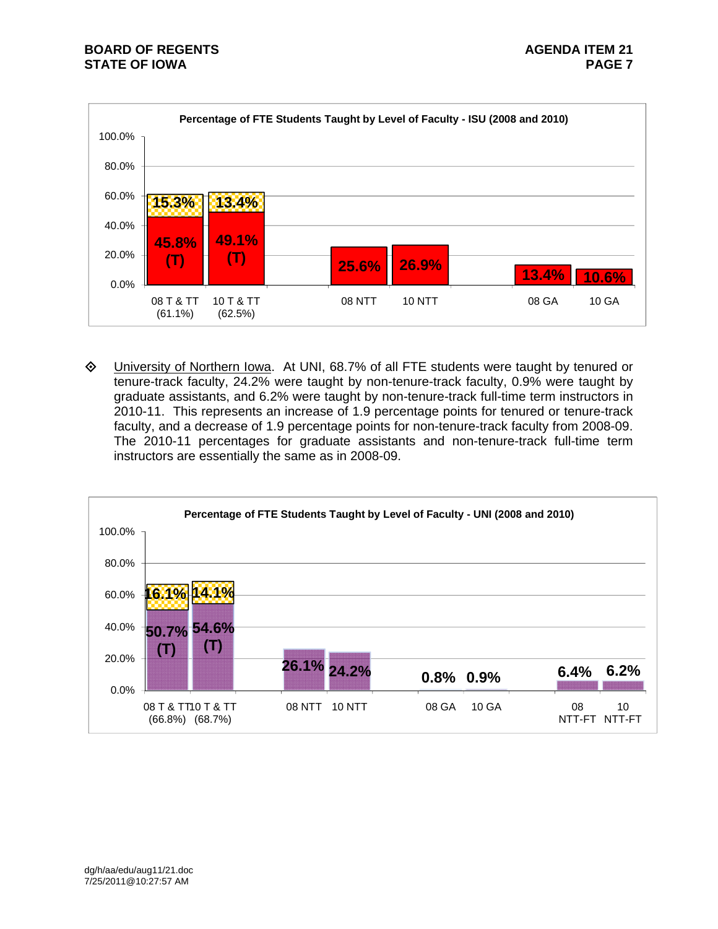

 University of Northern Iowa. At UNI, 68.7% of all FTE students were taught by tenured or tenure-track faculty, 24.2% were taught by non-tenure-track faculty, 0.9% were taught by graduate assistants, and 6.2% were taught by non-tenure-track full-time term instructors in 2010-11. This represents an increase of 1.9 percentage points for tenured or tenure-track faculty, and a decrease of 1.9 percentage points for non-tenure-track faculty from 2008-09. The 2010-11 percentages for graduate assistants and non-tenure-track full-time term instructors are essentially the same as in 2008-09.

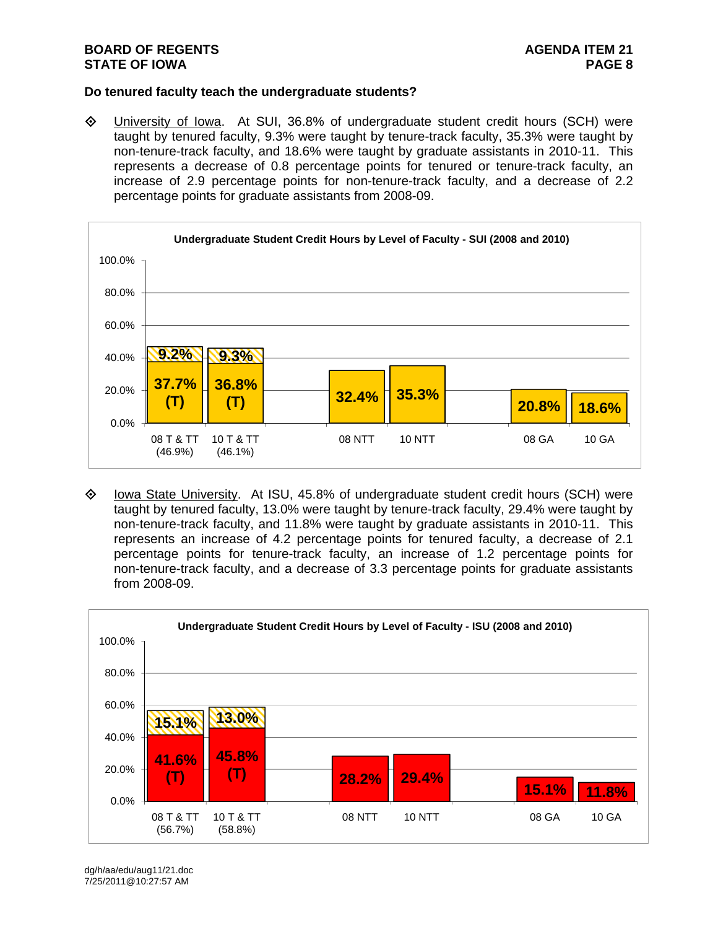## **Do tenured faculty teach the undergraduate students?**

 University of Iowa. At SUI, 36.8% of undergraduate student credit hours (SCH) were taught by tenured faculty, 9.3% were taught by tenure-track faculty, 35.3% were taught by non-tenure-track faculty, and 18.6% were taught by graduate assistants in 2010-11. This represents a decrease of 0.8 percentage points for tenured or tenure-track faculty, an increase of 2.9 percentage points for non-tenure-track faculty, and a decrease of 2.2 percentage points for graduate assistants from 2008-09.



 $\diamond$  Iowa State University. At ISU, 45.8% of undergraduate student credit hours (SCH) were taught by tenured faculty, 13.0% were taught by tenure-track faculty, 29.4% were taught by non-tenure-track faculty, and 11.8% were taught by graduate assistants in 2010-11. This represents an increase of 4.2 percentage points for tenured faculty, a decrease of 2.1 percentage points for tenure-track faculty, an increase of 1.2 percentage points for non-tenure-track faculty, and a decrease of 3.3 percentage points for graduate assistants from 2008-09.



dg/h/aa/edu/aug11/21.doc 7/25/2011@10:27:57 AM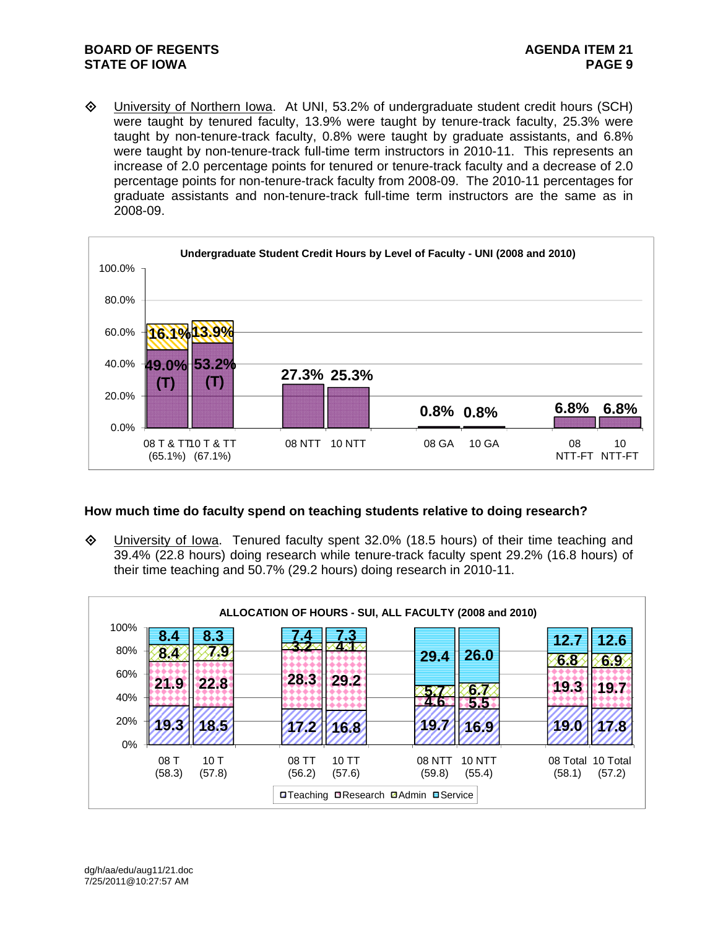University of Northern Iowa. At UNI, 53.2% of undergraduate student credit hours (SCH) were taught by tenured faculty, 13.9% were taught by tenure-track faculty, 25.3% were taught by non-tenure-track faculty, 0.8% were taught by graduate assistants, and 6.8% were taught by non-tenure-track full-time term instructors in 2010-11. This represents an increase of 2.0 percentage points for tenured or tenure-track faculty and a decrease of 2.0 percentage points for non-tenure-track faculty from 2008-09. The 2010-11 percentages for graduate assistants and non-tenure-track full-time term instructors are the same as in 2008-09.



## **How much time do faculty spend on teaching students relative to doing research?**

 $\Diamond$  University of Iowa. Tenured faculty spent 32.0% (18.5 hours) of their time teaching and 39.4% (22.8 hours) doing research while tenure-track faculty spent 29.2% (16.8 hours) of their time teaching and 50.7% (29.2 hours) doing research in 2010-11.

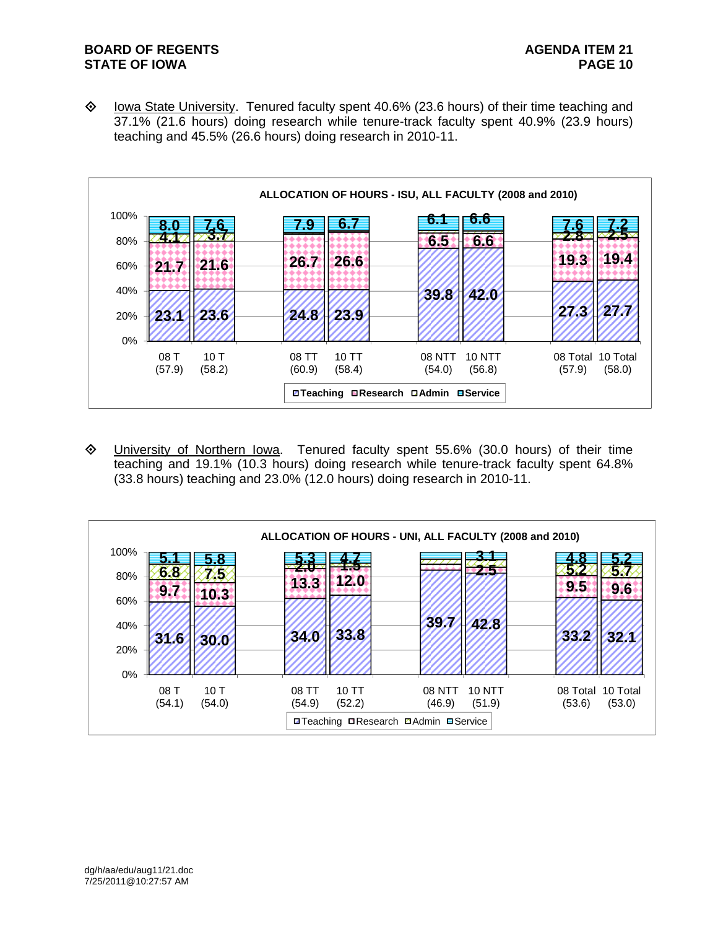$\diamond$  Iowa State University. Tenured faculty spent 40.6% (23.6 hours) of their time teaching and 37.1% (21.6 hours) doing research while tenure-track faculty spent 40.9% (23.9 hours) teaching and 45.5% (26.6 hours) doing research in 2010-11.



 University of Northern Iowa. Tenured faculty spent 55.6% (30.0 hours) of their time teaching and 19.1% (10.3 hours) doing research while tenure-track faculty spent 64.8% (33.8 hours) teaching and 23.0% (12.0 hours) doing research in 2010-11.

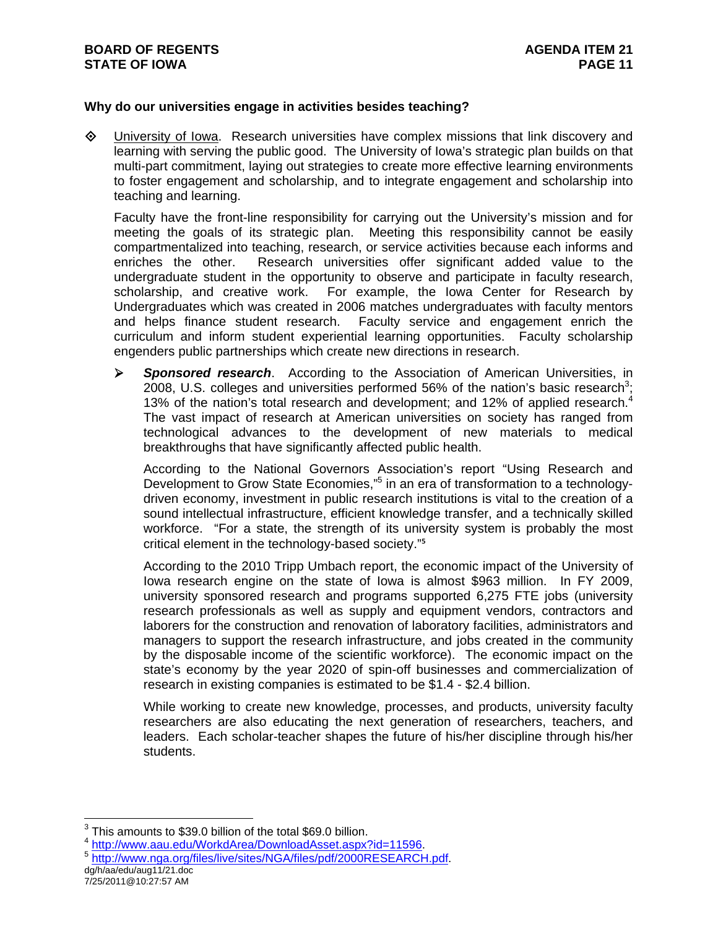## **Why do our universities engage in activities besides teaching?**

 $\Diamond$  University of Iowa. Research universities have complex missions that link discovery and learning with serving the public good. The University of Iowa's strategic plan builds on that multi-part commitment, laying out strategies to create more effective learning environments to foster engagement and scholarship, and to integrate engagement and scholarship into teaching and learning.

Faculty have the front-line responsibility for carrying out the University's mission and for meeting the goals of its strategic plan. Meeting this responsibility cannot be easily compartmentalized into teaching, research, or service activities because each informs and enriches the other. Research universities offer significant added value to the undergraduate student in the opportunity to observe and participate in faculty research, scholarship, and creative work. For example, the Iowa Center for Research by Undergraduates which was created in 2006 matches undergraduates with faculty mentors and helps finance student research. Faculty service and engagement enrich the curriculum and inform student experiential learning opportunities. Faculty scholarship engenders public partnerships which create new directions in research.

 *Sponsored research*. According to the Association of American Universities, in 2008, U.S. colleges and universities performed 56% of the nation's basic research<sup>3</sup>; 13% of the nation's total research and development; and 12% of applied research. $4$ The vast impact of research at American universities on society has ranged from technological advances to the development of new materials to medical breakthroughs that have significantly affected public health.

According to the National Governors Association's report "Using Research and Development to Grow State Economies,"<sup>5</sup> in an era of transformation to a technologydriven economy, investment in public research institutions is vital to the creation of a sound intellectual infrastructure, efficient knowledge transfer, and a technically skilled workforce. "For a state, the strength of its university system is probably the most critical element in the technology-based society."<sup>5</sup>

According to the 2010 Tripp Umbach report, the economic impact of the University of Iowa research engine on the state of Iowa is almost \$963 million. In FY 2009, university sponsored research and programs supported 6,275 FTE jobs (university research professionals as well as supply and equipment vendors, contractors and laborers for the construction and renovation of laboratory facilities, administrators and managers to support the research infrastructure, and jobs created in the community by the disposable income of the scientific workforce). The economic impact on the state's economy by the year 2020 of spin-off businesses and commercialization of research in existing companies is estimated to be \$1.4 - \$2.4 billion.

While working to create new knowledge, processes, and products, university faculty researchers are also educating the next generation of researchers, teachers, and leaders. Each scholar-teacher shapes the future of his/her discipline through his/her students.

- 
- dg/h/aa/edu/aug11/21.doc <sup>4</sup> http://www.aau.edu/WorkdArea/DownloadAsset.aspx?id=11596.<br><sup>5</sup> http://www.nga.org/files/live/sites/NGA/files/pdf/2000RESEARCH.pdf.

 $3$  This amounts to \$39.0 billion of the total \$69.0 billion.

<sup>7/25/2011@10:27:57</sup> AM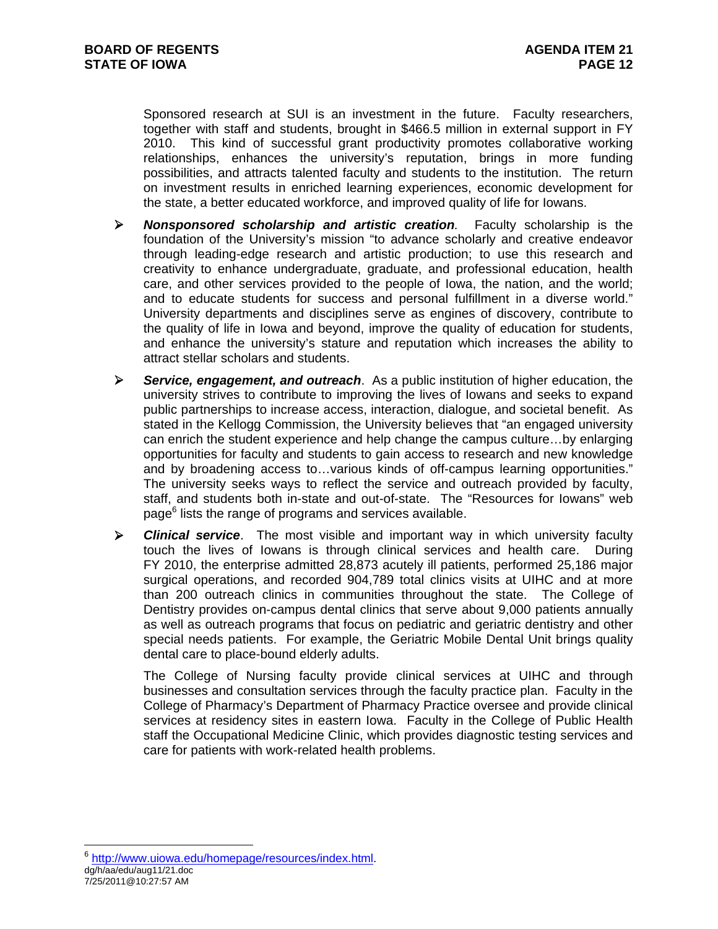Sponsored research at SUI is an investment in the future. Faculty researchers, together with staff and students, brought in \$466.5 million in external support in FY 2010. This kind of successful grant productivity promotes collaborative working relationships, enhances the university's reputation, brings in more funding possibilities, and attracts talented faculty and students to the institution. The return on investment results in enriched learning experiences, economic development for the state, a better educated workforce, and improved quality of life for Iowans.

- *Nonsponsored scholarship and artistic creation.* Faculty scholarship is the foundation of the University's mission "to advance scholarly and creative endeavor through leading-edge research and artistic production; to use this research and creativity to enhance undergraduate, graduate, and professional education, health care, and other services provided to the people of Iowa, the nation, and the world; and to educate students for success and personal fulfillment in a diverse world." University departments and disciplines serve as engines of discovery, contribute to the quality of life in Iowa and beyond, improve the quality of education for students, and enhance the university's stature and reputation which increases the ability to attract stellar scholars and students.
- *Service, engagement, and outreach*. As a public institution of higher education, the university strives to contribute to improving the lives of Iowans and seeks to expand public partnerships to increase access, interaction, dialogue, and societal benefit. As stated in the Kellogg Commission, the University believes that "an engaged university can enrich the student experience and help change the campus culture…by enlarging opportunities for faculty and students to gain access to research and new knowledge and by broadening access to…various kinds of off-campus learning opportunities." The university seeks ways to reflect the service and outreach provided by faculty, staff, and students both in-state and out-of-state. The "Resources for Iowans" web page<sup>6</sup> lists the range of programs and services available.
- *Clinical service*. The most visible and important way in which university faculty touch the lives of Iowans is through clinical services and health care. During FY 2010, the enterprise admitted 28,873 acutely ill patients, performed 25,186 major surgical operations, and recorded 904,789 total clinics visits at UIHC and at more than 200 outreach clinics in communities throughout the state. The College of Dentistry provides on-campus dental clinics that serve about 9,000 patients annually as well as outreach programs that focus on pediatric and geriatric dentistry and other special needs patients. For example, the Geriatric Mobile Dental Unit brings quality dental care to place-bound elderly adults.

The College of Nursing faculty provide clinical services at UIHC and through businesses and consultation services through the faculty practice plan. Faculty in the College of Pharmacy's Department of Pharmacy Practice oversee and provide clinical services at residency sites in eastern Iowa. Faculty in the College of Public Health staff the Occupational Medicine Clinic, which provides diagnostic testing services and care for patients with work-related health problems.

<sup>6</sup> http://www.uiowa.edu/homepage/resources/index.html.

dg/h/aa/edu/aug11/21.doc

<sup>7/25/2011@10:27:57</sup> AM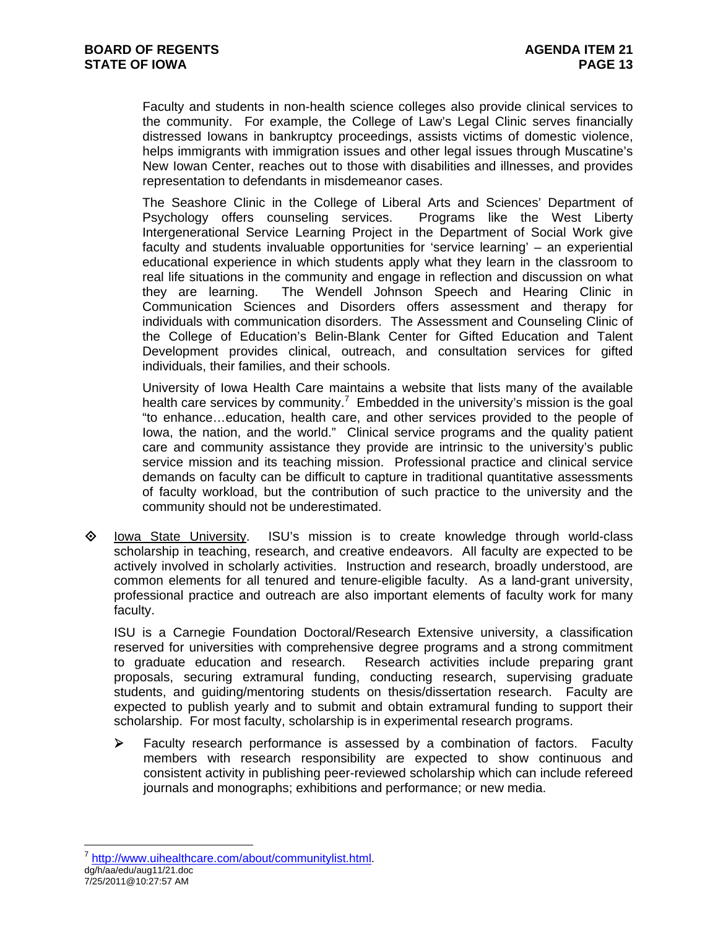Faculty and students in non-health science colleges also provide clinical services to the community. For example, the College of Law's Legal Clinic serves financially distressed Iowans in bankruptcy proceedings, assists victims of domestic violence, helps immigrants with immigration issues and other legal issues through Muscatine's New Iowan Center, reaches out to those with disabilities and illnesses, and provides representation to defendants in misdemeanor cases.

The Seashore Clinic in the College of Liberal Arts and Sciences' Department of Psychology offers counseling services. Programs like the West Liberty Intergenerational Service Learning Project in the Department of Social Work give faculty and students invaluable opportunities for 'service learning' – an experiential educational experience in which students apply what they learn in the classroom to real life situations in the community and engage in reflection and discussion on what they are learning. The Wendell Johnson Speech and Hearing Clinic in Communication Sciences and Disorders offers assessment and therapy for individuals with communication disorders. The Assessment and Counseling Clinic of the College of Education's Belin-Blank Center for Gifted Education and Talent Development provides clinical, outreach, and consultation services for gifted individuals, their families, and their schools.

University of Iowa Health Care maintains a website that lists many of the available health care services by community.<sup>7</sup> Embedded in the university's mission is the goal "to enhance…education, health care, and other services provided to the people of Iowa, the nation, and the world." Clinical service programs and the quality patient care and community assistance they provide are intrinsic to the university's public service mission and its teaching mission. Professional practice and clinical service demands on faculty can be difficult to capture in traditional quantitative assessments of faculty workload, but the contribution of such practice to the university and the community should not be underestimated.

 $\diamond$  lowa State University. ISU's mission is to create knowledge through world-class scholarship in teaching, research, and creative endeavors. All faculty are expected to be actively involved in scholarly activities. Instruction and research, broadly understood, are common elements for all tenured and tenure-eligible faculty. As a land-grant university, professional practice and outreach are also important elements of faculty work for many faculty.

ISU is a Carnegie Foundation Doctoral/Research Extensive university, a classification reserved for universities with comprehensive degree programs and a strong commitment to graduate education and research. Research activities include preparing grant proposals, securing extramural funding, conducting research, supervising graduate students, and guiding/mentoring students on thesis/dissertation research. Faculty are expected to publish yearly and to submit and obtain extramural funding to support their scholarship. For most faculty, scholarship is in experimental research programs.

 $\triangleright$  Faculty research performance is assessed by a combination of factors. Faculty members with research responsibility are expected to show continuous and consistent activity in publishing peer-reviewed scholarship which can include refereed journals and monographs; exhibitions and performance; or new media.

dg/h/aa/edu/aug11/21.doc <sup>7</sup> http://www.uihealthcare.com/about/communitylist.html.

<sup>7/25/2011@10:27:57</sup> AM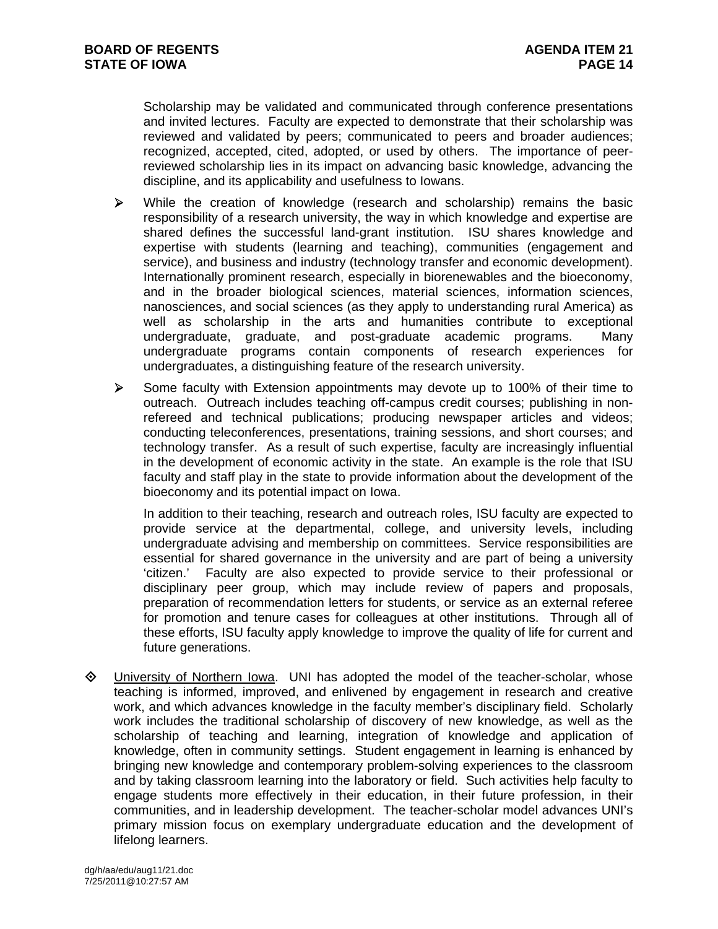Scholarship may be validated and communicated through conference presentations and invited lectures. Faculty are expected to demonstrate that their scholarship was reviewed and validated by peers; communicated to peers and broader audiences; recognized, accepted, cited, adopted, or used by others. The importance of peerreviewed scholarship lies in its impact on advancing basic knowledge, advancing the discipline, and its applicability and usefulness to Iowans.

- $\triangleright$  While the creation of knowledge (research and scholarship) remains the basic responsibility of a research university, the way in which knowledge and expertise are shared defines the successful land-grant institution. ISU shares knowledge and expertise with students (learning and teaching), communities (engagement and service), and business and industry (technology transfer and economic development). Internationally prominent research, especially in biorenewables and the bioeconomy, and in the broader biological sciences, material sciences, information sciences, nanosciences, and social sciences (as they apply to understanding rural America) as well as scholarship in the arts and humanities contribute to exceptional undergraduate, graduate, and post-graduate academic programs. Many undergraduate programs contain components of research experiences for undergraduates, a distinguishing feature of the research university.
- $\triangleright$  Some faculty with Extension appointments may devote up to 100% of their time to outreach. Outreach includes teaching off-campus credit courses; publishing in nonrefereed and technical publications; producing newspaper articles and videos; conducting teleconferences, presentations, training sessions, and short courses; and technology transfer. As a result of such expertise, faculty are increasingly influential in the development of economic activity in the state. An example is the role that ISU faculty and staff play in the state to provide information about the development of the bioeconomy and its potential impact on Iowa.

In addition to their teaching, research and outreach roles, ISU faculty are expected to provide service at the departmental, college, and university levels, including undergraduate advising and membership on committees. Service responsibilities are essential for shared governance in the university and are part of being a university 'citizen.' Faculty are also expected to provide service to their professional or disciplinary peer group, which may include review of papers and proposals, preparation of recommendation letters for students, or service as an external referee for promotion and tenure cases for colleagues at other institutions. Through all of these efforts, ISU faculty apply knowledge to improve the quality of life for current and future generations.

 University of Northern Iowa. UNI has adopted the model of the teacher-scholar, whose teaching is informed, improved, and enlivened by engagement in research and creative work, and which advances knowledge in the faculty member's disciplinary field. Scholarly work includes the traditional scholarship of discovery of new knowledge, as well as the scholarship of teaching and learning, integration of knowledge and application of knowledge, often in community settings. Student engagement in learning is enhanced by bringing new knowledge and contemporary problem-solving experiences to the classroom and by taking classroom learning into the laboratory or field. Such activities help faculty to engage students more effectively in their education, in their future profession, in their communities, and in leadership development. The teacher-scholar model advances UNI's primary mission focus on exemplary undergraduate education and the development of lifelong learners.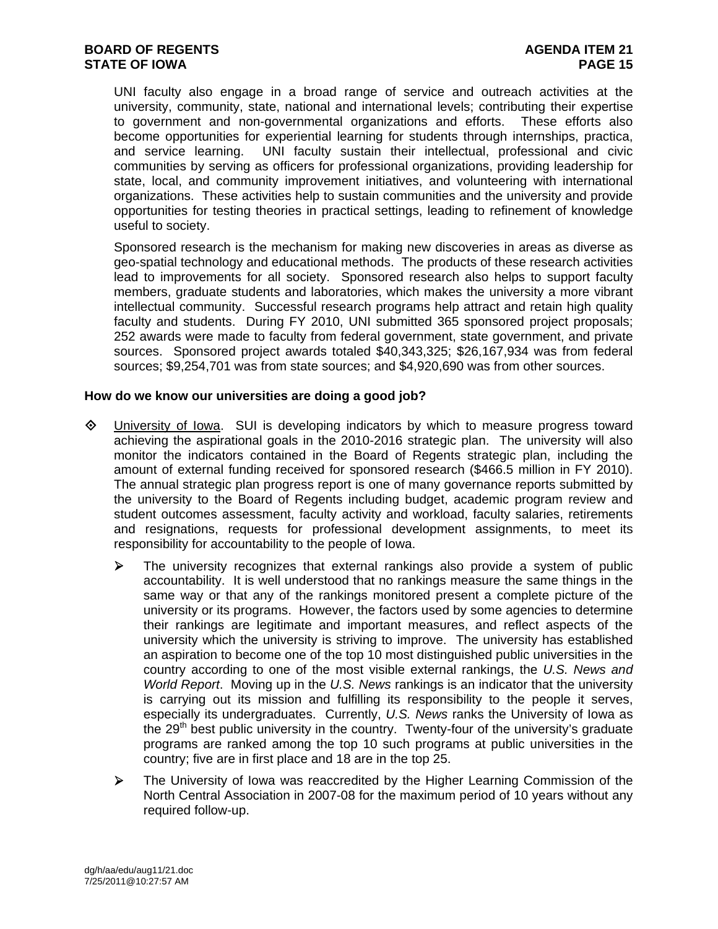UNI faculty also engage in a broad range of service and outreach activities at the university, community, state, national and international levels; contributing their expertise to government and non-governmental organizations and efforts. These efforts also become opportunities for experiential learning for students through internships, practica, and service learning. UNI faculty sustain their intellectual, professional and civic communities by serving as officers for professional organizations, providing leadership for state, local, and community improvement initiatives, and volunteering with international organizations. These activities help to sustain communities and the university and provide opportunities for testing theories in practical settings, leading to refinement of knowledge useful to society.

Sponsored research is the mechanism for making new discoveries in areas as diverse as geo-spatial technology and educational methods. The products of these research activities lead to improvements for all society. Sponsored research also helps to support faculty members, graduate students and laboratories, which makes the university a more vibrant intellectual community. Successful research programs help attract and retain high quality faculty and students. During FY 2010, UNI submitted 365 sponsored project proposals; 252 awards were made to faculty from federal government, state government, and private sources. Sponsored project awards totaled \$40,343,325; \$26,167,934 was from federal sources; \$9,254,701 was from state sources; and \$4,920,690 was from other sources.

## **How do we know our universities are doing a good job?**

- University of Iowa. SUI is developing indicators by which to measure progress toward achieving the aspirational goals in the 2010-2016 strategic plan. The university will also monitor the indicators contained in the Board of Regents strategic plan, including the amount of external funding received for sponsored research (\$466.5 million in FY 2010). The annual strategic plan progress report is one of many governance reports submitted by the university to the Board of Regents including budget, academic program review and student outcomes assessment, faculty activity and workload, faculty salaries, retirements and resignations, requests for professional development assignments, to meet its responsibility for accountability to the people of Iowa.
	- $\triangleright$  The university recognizes that external rankings also provide a system of public accountability. It is well understood that no rankings measure the same things in the same way or that any of the rankings monitored present a complete picture of the university or its programs. However, the factors used by some agencies to determine their rankings are legitimate and important measures, and reflect aspects of the university which the university is striving to improve. The university has established an aspiration to become one of the top 10 most distinguished public universities in the country according to one of the most visible external rankings, the *U.S. News and World Report*. Moving up in the *U.S. News* rankings is an indicator that the university is carrying out its mission and fulfilling its responsibility to the people it serves, especially its undergraduates. Currently, *U.S. News* ranks the University of Iowa as the 29<sup>th</sup> best public university in the country. Twenty-four of the university's graduate programs are ranked among the top 10 such programs at public universities in the country; five are in first place and 18 are in the top 25.
	- The University of Iowa was reaccredited by the Higher Learning Commission of the North Central Association in 2007-08 for the maximum period of 10 years without any required follow-up.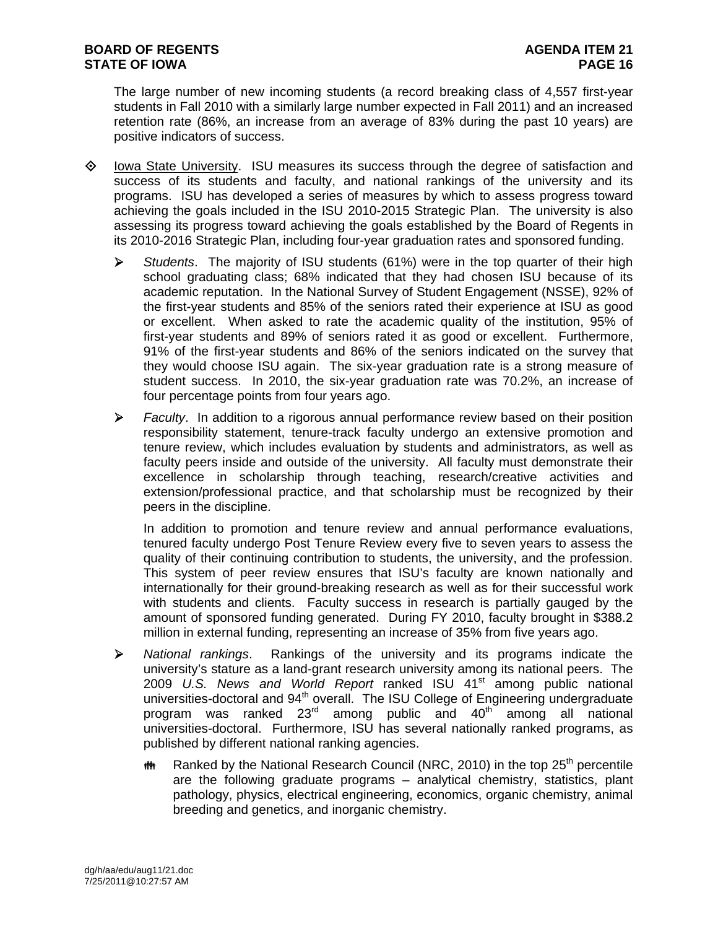The large number of new incoming students (a record breaking class of 4,557 first-year students in Fall 2010 with a similarly large number expected in Fall 2011) and an increased retention rate (86%, an increase from an average of 83% during the past 10 years) are positive indicators of success.

- $\diamond$  Iowa State University. ISU measures its success through the degree of satisfaction and success of its students and faculty, and national rankings of the university and its programs. ISU has developed a series of measures by which to assess progress toward achieving the goals included in the ISU 2010-2015 Strategic Plan. The university is also assessing its progress toward achieving the goals established by the Board of Regents in its 2010-2016 Strategic Plan, including four-year graduation rates and sponsored funding.
	- *Students*. The majority of ISU students (61%) were in the top quarter of their high school graduating class; 68% indicated that they had chosen ISU because of its academic reputation. In the National Survey of Student Engagement (NSSE), 92% of the first-year students and 85% of the seniors rated their experience at ISU as good or excellent. When asked to rate the academic quality of the institution, 95% of first-year students and 89% of seniors rated it as good or excellent. Furthermore, 91% of the first-year students and 86% of the seniors indicated on the survey that they would choose ISU again. The six-year graduation rate is a strong measure of student success. In 2010, the six-year graduation rate was 70.2%, an increase of four percentage points from four years ago.
	- *Faculty*. In addition to a rigorous annual performance review based on their position responsibility statement, tenure-track faculty undergo an extensive promotion and tenure review, which includes evaluation by students and administrators, as well as faculty peers inside and outside of the university. All faculty must demonstrate their excellence in scholarship through teaching, research/creative activities and extension/professional practice, and that scholarship must be recognized by their peers in the discipline.

In addition to promotion and tenure review and annual performance evaluations, tenured faculty undergo Post Tenure Review every five to seven years to assess the quality of their continuing contribution to students, the university, and the profession. This system of peer review ensures that ISU's faculty are known nationally and internationally for their ground-breaking research as well as for their successful work with students and clients. Faculty success in research is partially gauged by the amount of sponsored funding generated. During FY 2010, faculty brought in \$388.2 million in external funding, representing an increase of 35% from five years ago.

- *National rankings*. Rankings of the university and its programs indicate the university's stature as a land-grant research university among its national peers. The 2009 *U.S. News and World Report* ranked ISU 41<sup>st</sup> among public national universities-doctoral and  $94<sup>th</sup>$  overall. The ISU College of Engineering undergraduate program was ranked 23<sup>rd</sup> among public and 40<sup>th</sup> among all national universities-doctoral. Furthermore, ISU has several nationally ranked programs, as published by different national ranking agencies.
	- **#** Ranked by the National Research Council (NRC, 2010) in the top 25<sup>th</sup> percentile are the following graduate programs – analytical chemistry, statistics, plant pathology, physics, electrical engineering, economics, organic chemistry, animal breeding and genetics, and inorganic chemistry.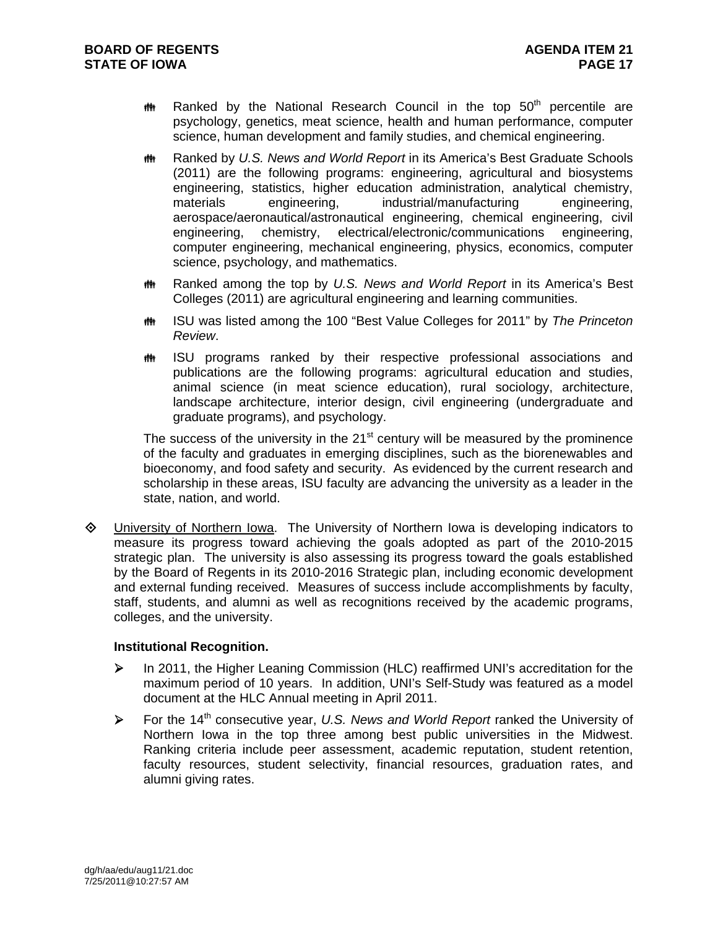- $m$  Ranked by the National Research Council in the top 50<sup>th</sup> percentile are psychology, genetics, meat science, health and human performance, computer science, human development and family studies, and chemical engineering.
- **## Ranked by U.S. News and World Report in its America's Best Graduate Schools** (2011) are the following programs: engineering, agricultural and biosystems engineering, statistics, higher education administration, analytical chemistry, materials engineering, industrial/manufacturing engineering, aerospace/aeronautical/astronautical engineering, chemical engineering, civil engineering, chemistry, electrical/electronic/communications engineering, computer engineering, mechanical engineering, physics, economics, computer science, psychology, and mathematics.
- **## Ranked among the top by U.S. News and World Report in its America's Best** Colleges (2011) are agricultural engineering and learning communities.
- **INGU** Was listed among the 100 "Best Value Colleges for 2011" by *The Princeton Review*.
- **##** ISU programs ranked by their respective professional associations and publications are the following programs: agricultural education and studies, animal science (in meat science education), rural sociology, architecture, landscape architecture, interior design, civil engineering (undergraduate and graduate programs), and psychology.

The success of the university in the  $21<sup>st</sup>$  century will be measured by the prominence of the faculty and graduates in emerging disciplines, such as the biorenewables and bioeconomy, and food safety and security. As evidenced by the current research and scholarship in these areas, ISU faculty are advancing the university as a leader in the state, nation, and world.

♦ University of Northern lowa. The University of Northern lowa is developing indicators to measure its progress toward achieving the goals adopted as part of the 2010-2015 strategic plan. The university is also assessing its progress toward the goals established by the Board of Regents in its 2010-2016 Strategic plan, including economic development and external funding received. Measures of success include accomplishments by faculty, staff, students, and alumni as well as recognitions received by the academic programs, colleges, and the university.

## **Institutional Recognition.**

- ▶ In 2011, the Higher Leaning Commission (HLC) reaffirmed UNI's accreditation for the maximum period of 10 years. In addition, UNI's Self-Study was featured as a model document at the HLC Annual meeting in April 2011.
- For the 14th consecutive year, *U.S. News and World Report* ranked the University of Northern Iowa in the top three among best public universities in the Midwest. Ranking criteria include peer assessment, academic reputation, student retention, faculty resources, student selectivity, financial resources, graduation rates, and alumni giving rates.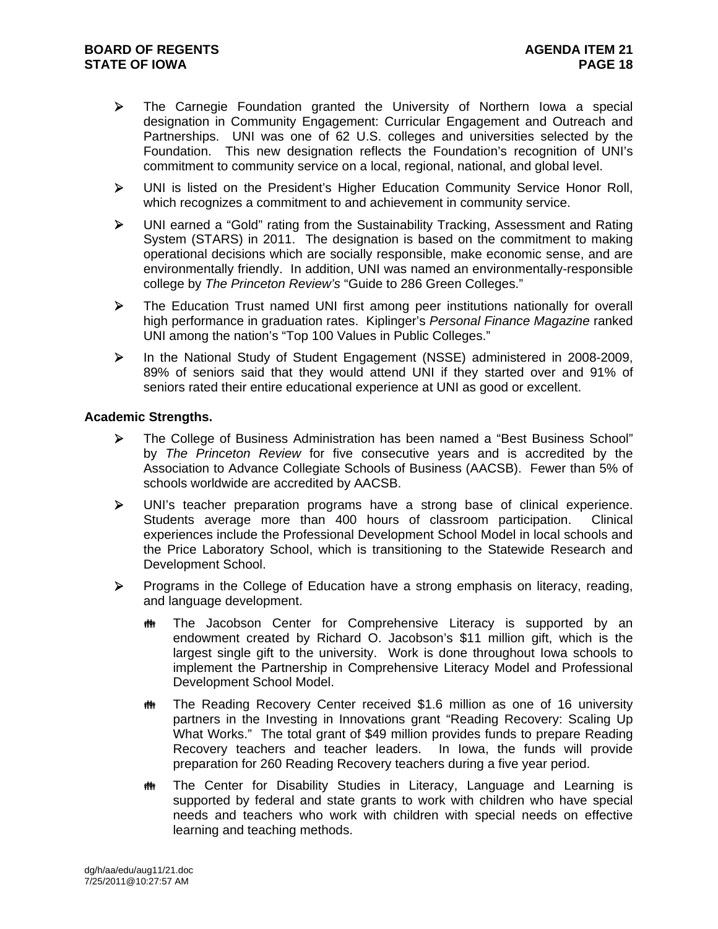- $\triangleright$  The Carnegie Foundation granted the University of Northern Iowa a special designation in Community Engagement: Curricular Engagement and Outreach and Partnerships. UNI was one of 62 U.S. colleges and universities selected by the Foundation. This new designation reflects the Foundation's recognition of UNI's commitment to community service on a local, regional, national, and global level.
- UNI is listed on the President's Higher Education Community Service Honor Roll, which recognizes a commitment to and achievement in community service.
- UNI earned a "Gold" rating from the Sustainability Tracking, Assessment and Rating System (STARS) in 2011. The designation is based on the commitment to making operational decisions which are socially responsible, make economic sense, and are environmentally friendly. In addition, UNI was named an environmentally-responsible college by *The Princeton Review's* "Guide to 286 Green Colleges."
- The Education Trust named UNI first among peer institutions nationally for overall high performance in graduation rates. Kiplinger's *Personal Finance Magazine* ranked UNI among the nation's "Top 100 Values in Public Colleges."
- In the National Study of Student Engagement (NSSE) administered in 2008-2009, 89% of seniors said that they would attend UNI if they started over and 91% of seniors rated their entire educational experience at UNI as good or excellent.

## **Academic Strengths.**

- The College of Business Administration has been named a "Best Business School" by *The Princeton Review* for five consecutive years and is accredited by the Association to Advance Collegiate Schools of Business (AACSB). Fewer than 5% of schools worldwide are accredited by AACSB.
- UNI's teacher preparation programs have a strong base of clinical experience. Students average more than 400 hours of classroom participation. Clinical experiences include the Professional Development School Model in local schools and the Price Laboratory School, which is transitioning to the Statewide Research and Development School.
- Programs in the College of Education have a strong emphasis on literacy, reading, and language development.
	- **##** The Jacobson Center for Comprehensive Literacy is supported by an endowment created by Richard O. Jacobson's \$11 million gift, which is the largest single gift to the university. Work is done throughout Iowa schools to implement the Partnership in Comprehensive Literacy Model and Professional Development School Model.
	- The Reading Recovery Center received \$1.6 million as one of 16 university partners in the Investing in Innovations grant "Reading Recovery: Scaling Up What Works." The total grant of \$49 million provides funds to prepare Reading Recovery teachers and teacher leaders. In Iowa, the funds will provide preparation for 260 Reading Recovery teachers during a five year period.
	- **##** The Center for Disability Studies in Literacy, Language and Learning is supported by federal and state grants to work with children who have special needs and teachers who work with children with special needs on effective learning and teaching methods.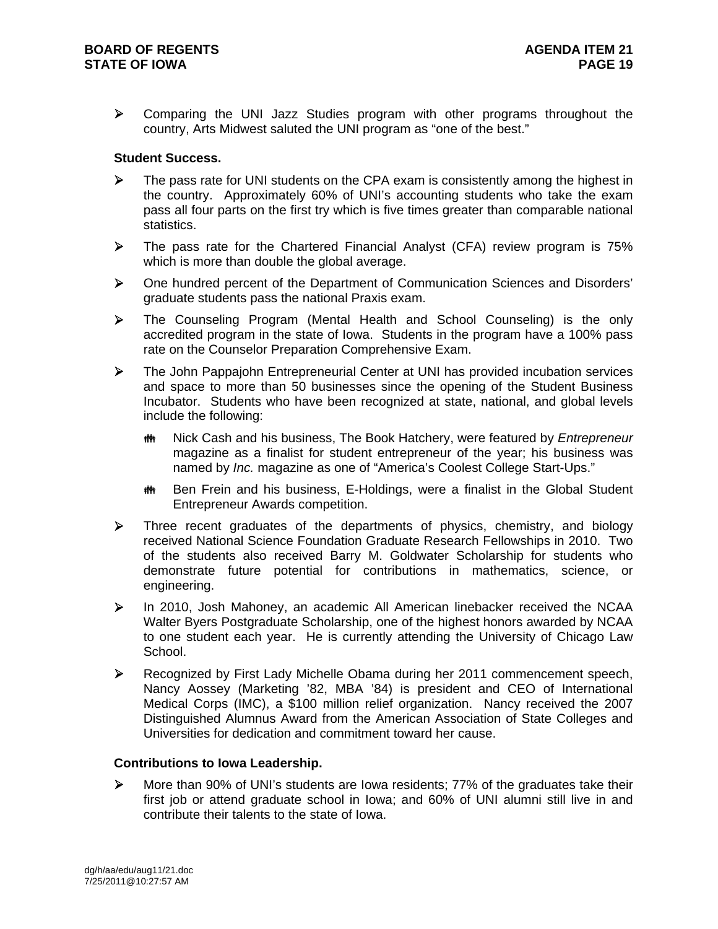Comparing the UNI Jazz Studies program with other programs throughout the country, Arts Midwest saluted the UNI program as "one of the best."

## **Student Success.**

- The pass rate for UNI students on the CPA exam is consistently among the highest in the country. Approximately 60% of UNI's accounting students who take the exam pass all four parts on the first try which is five times greater than comparable national statistics.
- $\triangleright$  The pass rate for the Chartered Financial Analyst (CFA) review program is 75% which is more than double the global average.
- One hundred percent of the Department of Communication Sciences and Disorders' graduate students pass the national Praxis exam.
- The Counseling Program (Mental Health and School Counseling) is the only accredited program in the state of Iowa. Students in the program have a 100% pass rate on the Counselor Preparation Comprehensive Exam.
- The John Pappajohn Entrepreneurial Center at UNI has provided incubation services and space to more than 50 businesses since the opening of the Student Business Incubator. Students who have been recognized at state, national, and global levels include the following:
	- **MEXED And SET Allerger Manual And The Book Hatchery, were featured by** *Entrepreneur* magazine as a finalist for student entrepreneur of the year; his business was named by *Inc.* magazine as one of "America's Coolest College Start-Ups."
	- **# Ben Frein and his business, E-Holdings, were a finalist in the Global Student** Entrepreneur Awards competition.
- $\triangleright$  Three recent graduates of the departments of physics, chemistry, and biology received National Science Foundation Graduate Research Fellowships in 2010. Two of the students also received Barry M. Goldwater Scholarship for students who demonstrate future potential for contributions in mathematics, science, or engineering.
- In 2010, Josh Mahoney, an academic All American linebacker received the NCAA Walter Byers Postgraduate Scholarship, one of the highest honors awarded by NCAA to one student each year. He is currently attending the University of Chicago Law School.
- Recognized by First Lady Michelle Obama during her 2011 commencement speech, Nancy Aossey (Marketing '82, MBA '84) is president and CEO of International Medical Corps (IMC), a \$100 million relief organization. Nancy received the 2007 Distinguished Alumnus Award from the American Association of State Colleges and Universities for dedication and commitment toward her cause.

## **Contributions to Iowa Leadership.**

 $\triangleright$  More than 90% of UNI's students are lowa residents; 77% of the graduates take their first job or attend graduate school in Iowa; and 60% of UNI alumni still live in and contribute their talents to the state of Iowa.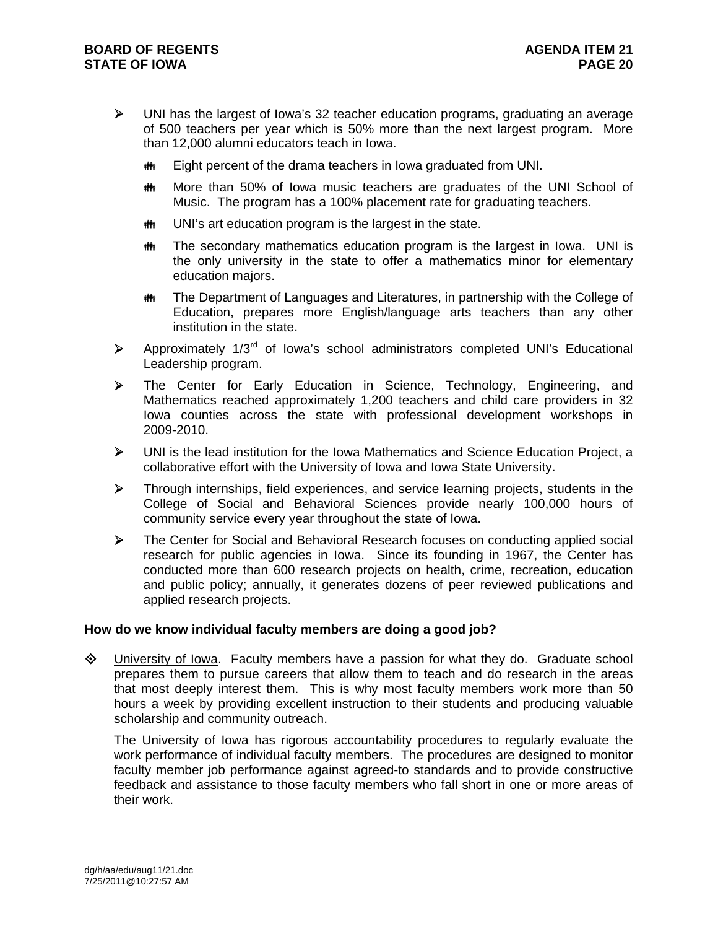- UNI has the largest of Iowa's 32 teacher education programs, graduating an average of 500 teachers per year which is 50% more than the next largest program. More than 12,000 alumni educators teach in Iowa.
	- **## Eight percent of the drama teachers in Iowa graduated from UNI.**
	- **More than 50% of lowa music teachers are graduates of the UNI School of** Music. The program has a 100% placement rate for graduating teachers.
	- **## UNI's art education program is the largest in the state.**
	- **##** The secondary mathematics education program is the largest in Iowa. UNI is the only university in the state to offer a mathematics minor for elementary education majors.
	- **##** The Department of Languages and Literatures, in partnership with the College of Education, prepares more English/language arts teachers than any other institution in the state.
- $\triangleright$  Approximately 1/3<sup>rd</sup> of Iowa's school administrators completed UNI's Educational Leadership program.
- The Center for Early Education in Science, Technology, Engineering, and Mathematics reached approximately 1,200 teachers and child care providers in 32 Iowa counties across the state with professional development workshops in 2009-2010.
- UNI is the lead institution for the Iowa Mathematics and Science Education Project, a collaborative effort with the University of Iowa and Iowa State University.
- $\triangleright$  Through internships, field experiences, and service learning projects, students in the College of Social and Behavioral Sciences provide nearly 100,000 hours of community service every year throughout the state of Iowa.
- The Center for Social and Behavioral Research focuses on conducting applied social research for public agencies in Iowa. Since its founding in 1967, the Center has conducted more than 600 research projects on health, crime, recreation, education and public policy; annually, it generates dozens of peer reviewed publications and applied research projects.

## **How do we know individual faculty members are doing a good job?**

 $\Diamond$  University of Iowa. Faculty members have a passion for what they do. Graduate school prepares them to pursue careers that allow them to teach and do research in the areas that most deeply interest them. This is why most faculty members work more than 50 hours a week by providing excellent instruction to their students and producing valuable scholarship and community outreach.

The University of Iowa has rigorous accountability procedures to regularly evaluate the work performance of individual faculty members. The procedures are designed to monitor faculty member job performance against agreed-to standards and to provide constructive feedback and assistance to those faculty members who fall short in one or more areas of their work.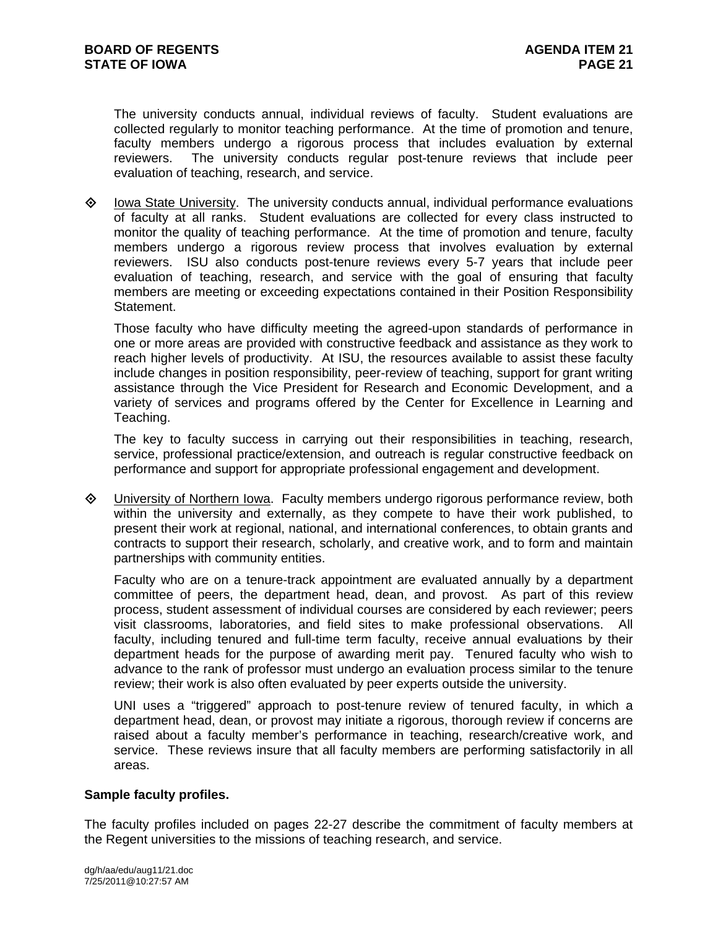The university conducts annual, individual reviews of faculty. Student evaluations are collected regularly to monitor teaching performance. At the time of promotion and tenure, faculty members undergo a rigorous process that includes evaluation by external reviewers. The university conducts regular post-tenure reviews that include peer evaluation of teaching, research, and service.

 $\Diamond$  Iowa State University. The university conducts annual, individual performance evaluations of faculty at all ranks. Student evaluations are collected for every class instructed to monitor the quality of teaching performance. At the time of promotion and tenure, faculty members undergo a rigorous review process that involves evaluation by external reviewers. ISU also conducts post-tenure reviews every 5-7 years that include peer evaluation of teaching, research, and service with the goal of ensuring that faculty members are meeting or exceeding expectations contained in their Position Responsibility Statement.

Those faculty who have difficulty meeting the agreed-upon standards of performance in one or more areas are provided with constructive feedback and assistance as they work to reach higher levels of productivity. At ISU, the resources available to assist these faculty include changes in position responsibility, peer-review of teaching, support for grant writing assistance through the Vice President for Research and Economic Development, and a variety of services and programs offered by the Center for Excellence in Learning and Teaching.

The key to faculty success in carrying out their responsibilities in teaching, research, service, professional practice/extension, and outreach is regular constructive feedback on performance and support for appropriate professional engagement and development.

 University of Northern Iowa. Faculty members undergo rigorous performance review, both within the university and externally, as they compete to have their work published, to present their work at regional, national, and international conferences, to obtain grants and contracts to support their research, scholarly, and creative work, and to form and maintain partnerships with community entities.

Faculty who are on a tenure-track appointment are evaluated annually by a department committee of peers, the department head, dean, and provost. As part of this review process, student assessment of individual courses are considered by each reviewer; peers visit classrooms, laboratories, and field sites to make professional observations. All faculty, including tenured and full-time term faculty, receive annual evaluations by their department heads for the purpose of awarding merit pay. Tenured faculty who wish to advance to the rank of professor must undergo an evaluation process similar to the tenure review; their work is also often evaluated by peer experts outside the university.

UNI uses a "triggered" approach to post-tenure review of tenured faculty, in which a department head, dean, or provost may initiate a rigorous, thorough review if concerns are raised about a faculty member's performance in teaching, research/creative work, and service. These reviews insure that all faculty members are performing satisfactorily in all areas.

### **Sample faculty profiles.**

The faculty profiles included on pages 22-27 describe the commitment of faculty members at the Regent universities to the missions of teaching research, and service.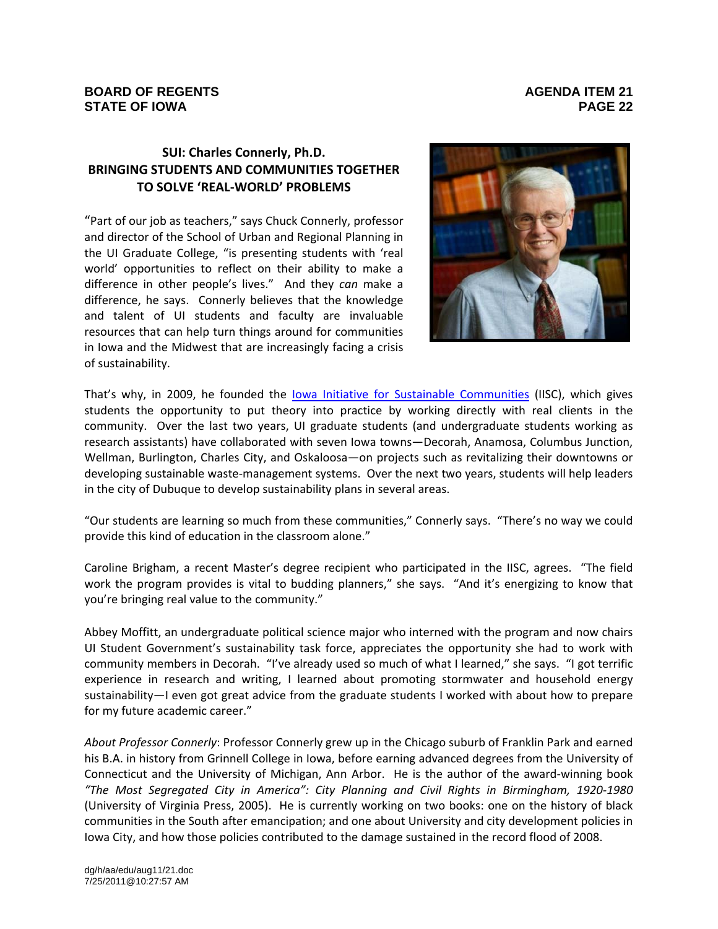# **SUI: Charles Connerly, Ph.D. BRINGING STUDENTS AND COMMUNITIES TOGETHER TO SOLVE 'REAL‐WORLD' PROBLEMS**

"Part of our job as teachers," says Chuck Connerly, professor and director of the School of Urban and Regional Planning in the UI Graduate College, "is presenting students with 'real world' opportunities to reflect on their ability to make a difference in other people's lives." And they *can* make a difference, he says. Connerly believes that the knowledge and talent of UI students and faculty are invaluable resources that can help turn things around for communities in Iowa and the Midwest that are increasingly facing a crisis of sustainability.



That's why, in 2009, he founded the Iowa Initiative for Sustainable Communities (IISC), which gives students the opportunity to put theory into practice by working directly with real clients in the community. Over the last two years, UI graduate students (and undergraduate students working as research assistants) have collaborated with seven Iowa towns—Decorah, Anamosa, Columbus Junction, Wellman, Burlington, Charles City, and Oskaloosa—on projects such as revitalizing their downtowns or developing sustainable waste‐management systems. Over the next two years, students will help leaders in the city of Dubuque to develop sustainability plans in several areas.

"Our students are learning so much from these communities," Connerly says. "There's no way we could provide this kind of education in the classroom alone."

Caroline Brigham, a recent Master's degree recipient who participated in the IISC, agrees. "The field work the program provides is vital to budding planners," she says. "And it's energizing to know that you're bringing real value to the community."

Abbey Moffitt, an undergraduate political science major who interned with the program and now chairs UI Student Government's sustainability task force, appreciates the opportunity she had to work with community members in Decorah. "I've already used so much of what I learned," she says. "I got terrific experience in research and writing, I learned about promoting stormwater and household energy sustainability—I even got great advice from the graduate students I worked with about how to prepare for my future academic career."

*About Professor Connerly*: Professor Connerly grew up in the Chicago suburb of Franklin Park and earned his B.A. in history from Grinnell College in Iowa, before earning advanced degrees from the University of Connecticut and the University of Michigan, Ann Arbor. He is the author of the award‐winning book *"The Most Segregated City in America": City Planning and Civil Rights in Birmingham, 1920‐1980* (University of Virginia Press, 2005). He is currently working on two books: one on the history of black communities in the South after emancipation; and one about University and city development policies in Iowa City, and how those policies contributed to the damage sustained in the record flood of 2008.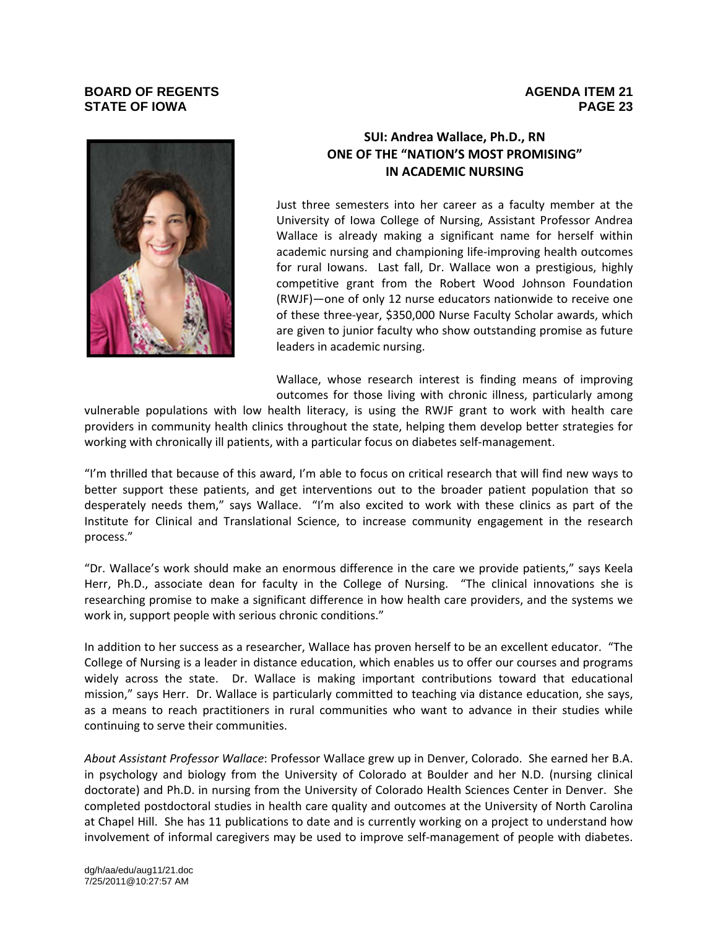

## **SUI: Andrea Wallace, Ph.D., RN ONE OF THE "NATION'S MOST PROMISING" IN ACADEMIC NURSING**

Just three semesters into her career as a faculty member at the University of Iowa College of Nursing, Assistant Professor Andrea Wallace is already making a significant name for herself within academic nursing and championing life‐improving health outcomes for rural Iowans. Last fall, Dr. Wallace won a prestigious, highly competitive grant from the Robert Wood Johnson Foundation (RWJF)—one of only 12 nurse educators nationwide to receive one of these three‐year, \$350,000 Nurse Faculty Scholar awards, which are given to junior faculty who show outstanding promise as future leaders in academic nursing.

Wallace, whose research interest is finding means of improving outcomes for those living with chronic illness, particularly among

vulnerable populations with low health literacy, is using the RWJF grant to work with health care providers in community health clinics throughout the state, helping them develop better strategies for working with chronically ill patients, with a particular focus on diabetes self-management.

"I'm thrilled that because of this award, I'm able to focus on critical research that will find new ways to better support these patients, and get interventions out to the broader patient population that so desperately needs them," says Wallace. "I'm also excited to work with these clinics as part of the Institute for Clinical and Translational Science, to increase community engagement in the research process."

"Dr. Wallace's work should make an enormous difference in the care we provide patients," says Keela Herr, Ph.D., associate dean for faculty in the College of Nursing. "The clinical innovations she is researching promise to make a significant difference in how health care providers, and the systems we work in, support people with serious chronic conditions."

In addition to her success as a researcher, Wallace has proven herself to be an excellent educator. "The College of Nursing is a leader in distance education, which enables us to offer our courses and programs widely across the state. Dr. Wallace is making important contributions toward that educational mission," says Herr. Dr. Wallace is particularly committed to teaching via distance education, she says, as a means to reach practitioners in rural communities who want to advance in their studies while continuing to serve their communities.

*About Assistant Professor Wallace*: Professor Wallace grew up in Denver, Colorado. She earned her B.A. in psychology and biology from the University of Colorado at Boulder and her N.D. (nursing clinical doctorate) and Ph.D. in nursing from the University of Colorado Health Sciences Center in Denver. She completed postdoctoral studies in health care quality and outcomes at the University of North Carolina at Chapel Hill. She has 11 publications to date and is currently working on a project to understand how involvement of informal caregivers may be used to improve self-management of people with diabetes.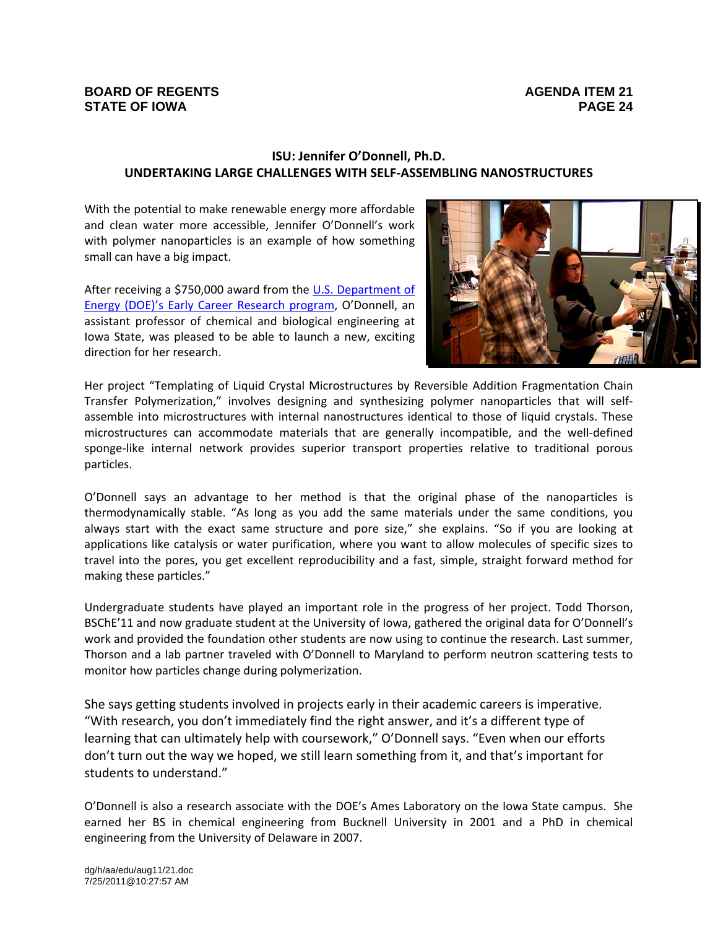# **ISU: Jennifer O'Donnell, Ph.D. UNDERTAKING LARGE CHALLENGES WITH SELF‐ASSEMBLING NANOSTRUCTURES**

With the potential to make renewable energy more affordable and clean water more accessible, Jennifer O'Donnell's work with polymer nanoparticles is an example of how something small can have a big impact.

After receiving a \$750,000 award from the U.S. Department of Energy (DOE)'s Early Career Research program, O'Donnell, an assistant professor of chemical and biological engineering at Iowa State, was pleased to be able to launch a new, exciting direction for her research.



Her project "Templating of Liquid Crystal Microstructures by Reversible Addition Fragmentation Chain Transfer Polymerization," involves designing and synthesizing polymer nanoparticles that will self‐ assemble into microstructures with internal nanostructures identical to those of liquid crystals. These microstructures can accommodate materials that are generally incompatible, and the well‐defined sponge-like internal network provides superior transport properties relative to traditional porous particles.

O'Donnell says an advantage to her method is that the original phase of the nanoparticles is thermodynamically stable. "As long as you add the same materials under the same conditions, you always start with the exact same structure and pore size," she explains. "So if you are looking at applications like catalysis or water purification, where you want to allow molecules of specific sizes to travel into the pores, you get excellent reproducibility and a fast, simple, straight forward method for making these particles."

Undergraduate students have played an important role in the progress of her project. Todd Thorson, BSChE'11 and now graduate student at the University of Iowa, gathered the original data for O'Donnell's work and provided the foundation other students are now using to continue the research. Last summer, Thorson and a lab partner traveled with O'Donnell to Maryland to perform neutron scattering tests to monitor how particles change during polymerization.

She says getting students involved in projects early in their academic careers is imperative. "With research, you don't immediately find the right answer, and it's a different type of learning that can ultimately help with coursework," O'Donnell says. "Even when our efforts don't turn out the way we hoped, we still learn something from it, and that's important for students to understand."

O'Donnell is also a research associate with the DOE's Ames Laboratory on the Iowa State campus. She earned her BS in chemical engineering from Bucknell University in 2001 and a PhD in chemical engineering from the University of Delaware in 2007.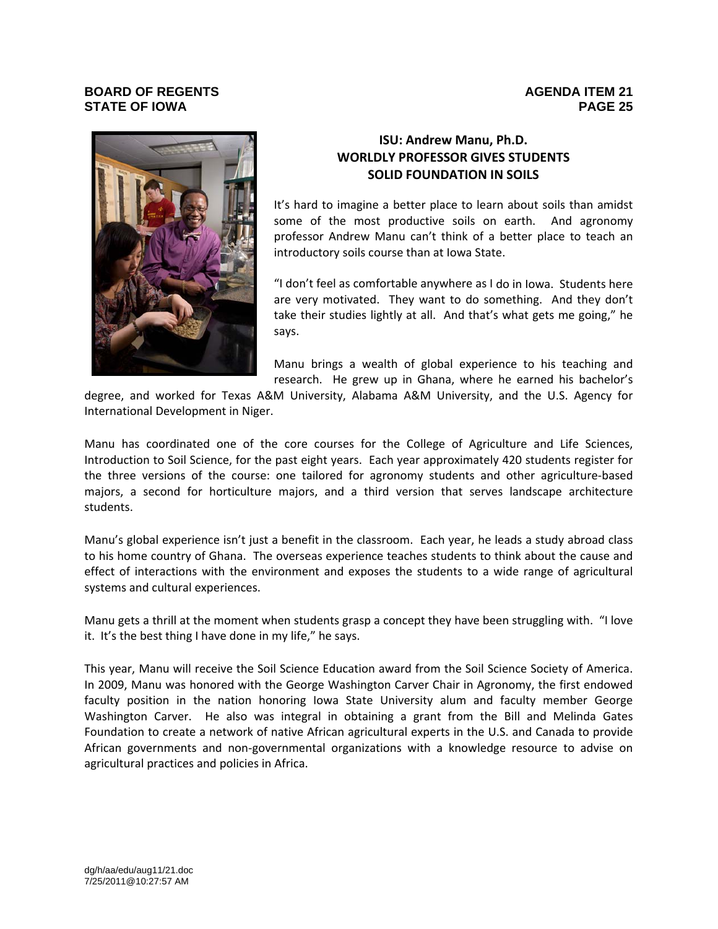

# **ISU: Andrew Manu, Ph.D. WORLDLY PROFESSOR GIVES STUDENTS SOLID FOUNDATION IN SOILS**

It's hard to imagine a better place to learn about soils than amidst some of the most productive soils on earth. And agronomy professor Andrew Manu can't think of a better place to teach an introductory soils course than at Iowa State.

"I don't feel as comfortable anywhere as I do in Iowa. Students here are very motivated. They want to do something. And they don't take their studies lightly at all. And that's what gets me going," he says.

Manu brings a wealth of global experience to his teaching and research. He grew up in Ghana, where he earned his bachelor's

degree, and worked for Texas A&M University, Alabama A&M University, and the U.S. Agency for International Development in Niger.

Manu has coordinated one of the core courses for the College of Agriculture and Life Sciences, Introduction to Soil Science, for the past eight years. Each year approximately 420 students register for the three versions of the course: one tailored for agronomy students and other agriculture‐based majors, a second for horticulture majors, and a third version that serves landscape architecture students.

Manu's global experience isn't just a benefit in the classroom. Each year, he leads a study abroad class to his home country of Ghana. The overseas experience teaches students to think about the cause and effect of interactions with the environment and exposes the students to a wide range of agricultural systems and cultural experiences.

Manu gets a thrill at the moment when students grasp a concept they have been struggling with. "I love it. It's the best thing I have done in my life," he says.

This year, Manu will receive the Soil Science Education award from the Soil Science Society of America. In 2009, Manu was honored with the George Washington Carver Chair in Agronomy, the first endowed faculty position in the nation honoring Iowa State University alum and faculty member George Washington Carver. He also was integral in obtaining a grant from the Bill and Melinda Gates Foundation to create a network of native African agricultural experts in the U.S. and Canada to provide African governments and non‐governmental organizations with a knowledge resource to advise on agricultural practices and policies in Africa.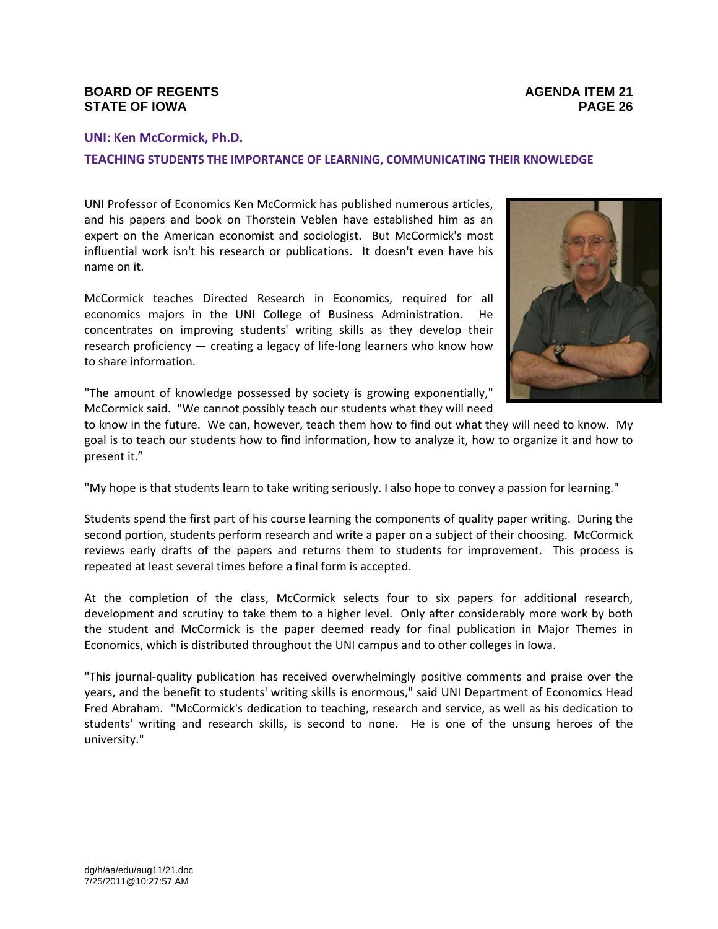## **UNI: Ken McCormick, Ph.D.**

### **TEACHING STUDENTS THE IMPORTANCE OF LEARNING, COMMUNICATING THEIR KNOWLEDGE**

UNI Professor of Economics Ken McCormick has published numerous articles, and his papers and book on Thorstein Veblen have established him as an expert on the American economist and sociologist. But McCormick's most influential work isn't his research or publications. It doesn't even have his name on it.

McCormick teaches Directed Research in Economics, required for all economics majors in the UNI College of Business Administration. He concentrates on improving students' writing skills as they develop their research proficiency — creating a legacy of life-long learners who know how to share information.



"The amount of knowledge possessed by society is growing exponentially," McCormick said. "We cannot possibly teach our students what they will need

to know in the future. We can, however, teach them how to find out what they will need to know. My goal is to teach our students how to find information, how to analyze it, how to organize it and how to present it."

"My hope is that students learn to take writing seriously. I also hope to convey a passion for learning."

Students spend the first part of his course learning the components of quality paper writing. During the second portion, students perform research and write a paper on a subject of their choosing. McCormick reviews early drafts of the papers and returns them to students for improvement. This process is repeated at least several times before a final form is accepted.

At the completion of the class, McCormick selects four to six papers for additional research, development and scrutiny to take them to a higher level. Only after considerably more work by both the student and McCormick is the paper deemed ready for final publication in Major Themes in Economics, which is distributed throughout the UNI campus and to other colleges in Iowa.

"This journal‐quality publication has received overwhelmingly positive comments and praise over the years, and the benefit to students' writing skills is enormous," said UNI Department of Economics Head Fred Abraham. "McCormick's dedication to teaching, research and service, as well as his dedication to students' writing and research skills, is second to none. He is one of the unsung heroes of the university."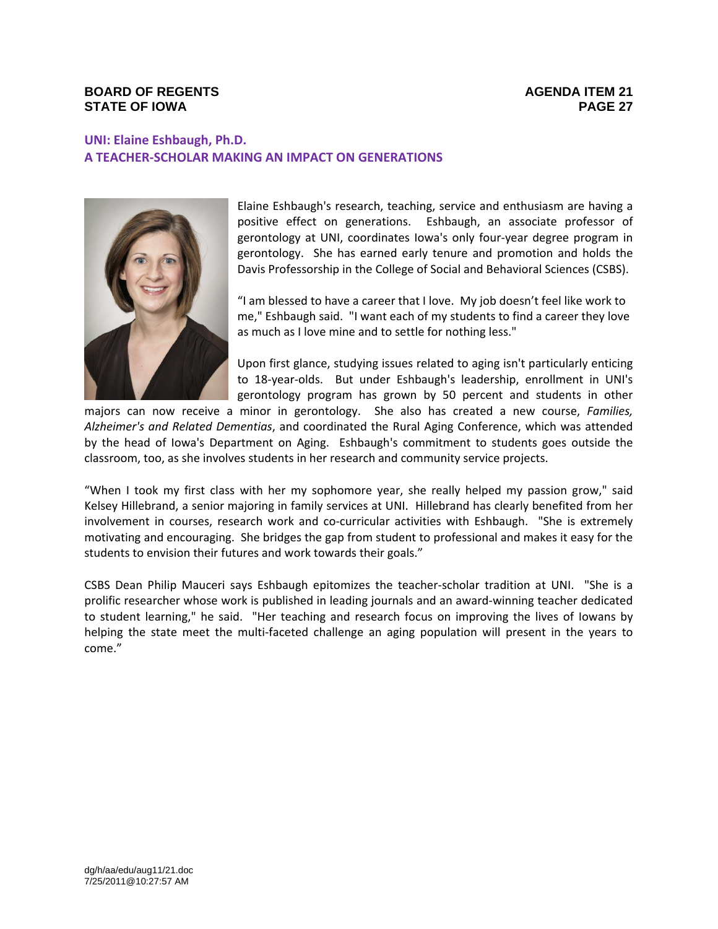# **UNI: Elaine Eshbaugh, Ph.D. A TEACHER‐SCHOLAR MAKING AN IMPACT ON GENERATIONS**



Elaine Eshbaugh's research, teaching, service and enthusiasm are having a positive effect on generations. Eshbaugh, an associate professor of gerontology at UNI, coordinates Iowa's only four‐year degree program in gerontology. She has earned early tenure and promotion and holds the Davis Professorship in the College of Social and Behavioral Sciences (CSBS).

"I am blessed to have a career that I love. My job doesn't feel like work to me," Eshbaugh said. "I want each of my students to find a career they love as much as I love mine and to settle for nothing less."

Upon first glance, studying issues related to aging isn't particularly enticing to 18-year-olds. But under Eshbaugh's leadership, enrollment in UNI's gerontology program has grown by 50 percent and students in other

majors can now receive a minor in gerontology. She also has created a new course, *Families, Alzheimer's and Related Dementias*, and coordinated the Rural Aging Conference, which was attended by the head of Iowa's Department on Aging. Eshbaugh's commitment to students goes outside the classroom, too, as she involves students in her research and community service projects.

"When I took my first class with her my sophomore year, she really helped my passion grow," said Kelsey Hillebrand, a senior majoring in family services at UNI. Hillebrand has clearly benefited from her involvement in courses, research work and co-curricular activities with Eshbaugh. "She is extremely motivating and encouraging. She bridges the gap from student to professional and makes it easy for the students to envision their futures and work towards their goals."

CSBS Dean Philip Mauceri says Eshbaugh epitomizes the teacher‐scholar tradition at UNI. "She is a prolific researcher whose work is published in leading journals and an award-winning teacher dedicated to student learning," he said. "Her teaching and research focus on improving the lives of Iowans by helping the state meet the multi-faceted challenge an aging population will present in the years to come."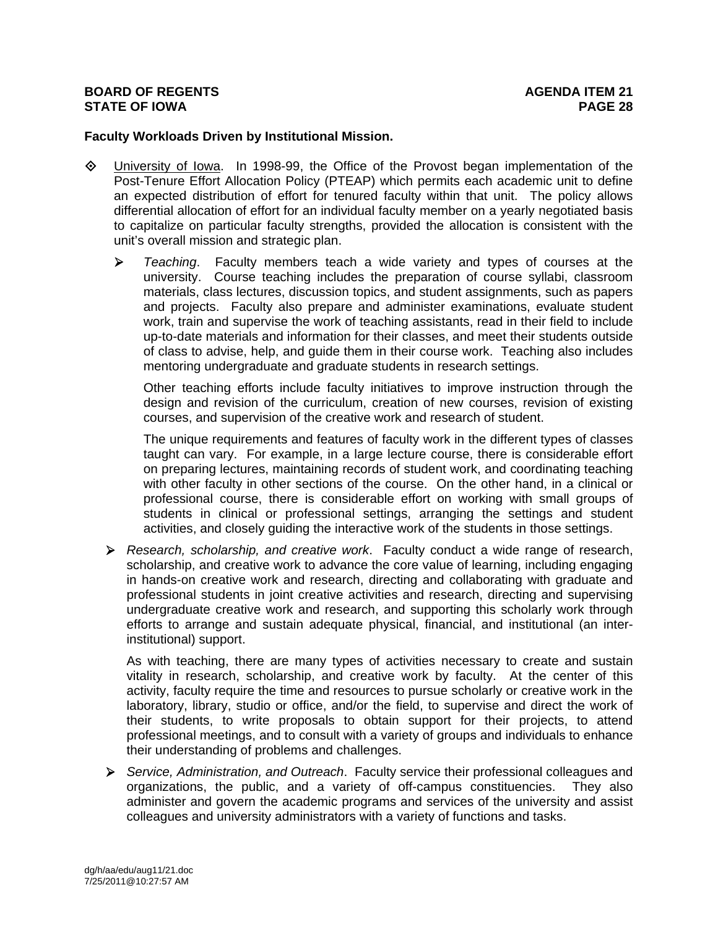## **Faculty Workloads Driven by Institutional Mission.**

- University of Iowa. In 1998-99, the Office of the Provost began implementation of the Post-Tenure Effort Allocation Policy (PTEAP) which permits each academic unit to define an expected distribution of effort for tenured faculty within that unit. The policy allows differential allocation of effort for an individual faculty member on a yearly negotiated basis to capitalize on particular faculty strengths, provided the allocation is consistent with the unit's overall mission and strategic plan.
	- *Teaching*. Faculty members teach a wide variety and types of courses at the university. Course teaching includes the preparation of course syllabi, classroom materials, class lectures, discussion topics, and student assignments, such as papers and projects. Faculty also prepare and administer examinations, evaluate student work, train and supervise the work of teaching assistants, read in their field to include up-to-date materials and information for their classes, and meet their students outside of class to advise, help, and guide them in their course work. Teaching also includes mentoring undergraduate and graduate students in research settings.

Other teaching efforts include faculty initiatives to improve instruction through the design and revision of the curriculum, creation of new courses, revision of existing courses, and supervision of the creative work and research of student.

The unique requirements and features of faculty work in the different types of classes taught can vary. For example, in a large lecture course, there is considerable effort on preparing lectures, maintaining records of student work, and coordinating teaching with other faculty in other sections of the course. On the other hand, in a clinical or professional course, there is considerable effort on working with small groups of students in clinical or professional settings, arranging the settings and student activities, and closely guiding the interactive work of the students in those settings.

 *Research, scholarship, and creative work*. Faculty conduct a wide range of research, scholarship, and creative work to advance the core value of learning, including engaging in hands-on creative work and research, directing and collaborating with graduate and professional students in joint creative activities and research, directing and supervising undergraduate creative work and research, and supporting this scholarly work through efforts to arrange and sustain adequate physical, financial, and institutional (an interinstitutional) support.

As with teaching, there are many types of activities necessary to create and sustain vitality in research, scholarship, and creative work by faculty. At the center of this activity, faculty require the time and resources to pursue scholarly or creative work in the laboratory, library, studio or office, and/or the field, to supervise and direct the work of their students, to write proposals to obtain support for their projects, to attend professional meetings, and to consult with a variety of groups and individuals to enhance their understanding of problems and challenges.

 *Service, Administration, and Outreach*. Faculty service their professional colleagues and organizations, the public, and a variety of off-campus constituencies. They also administer and govern the academic programs and services of the university and assist colleagues and university administrators with a variety of functions and tasks.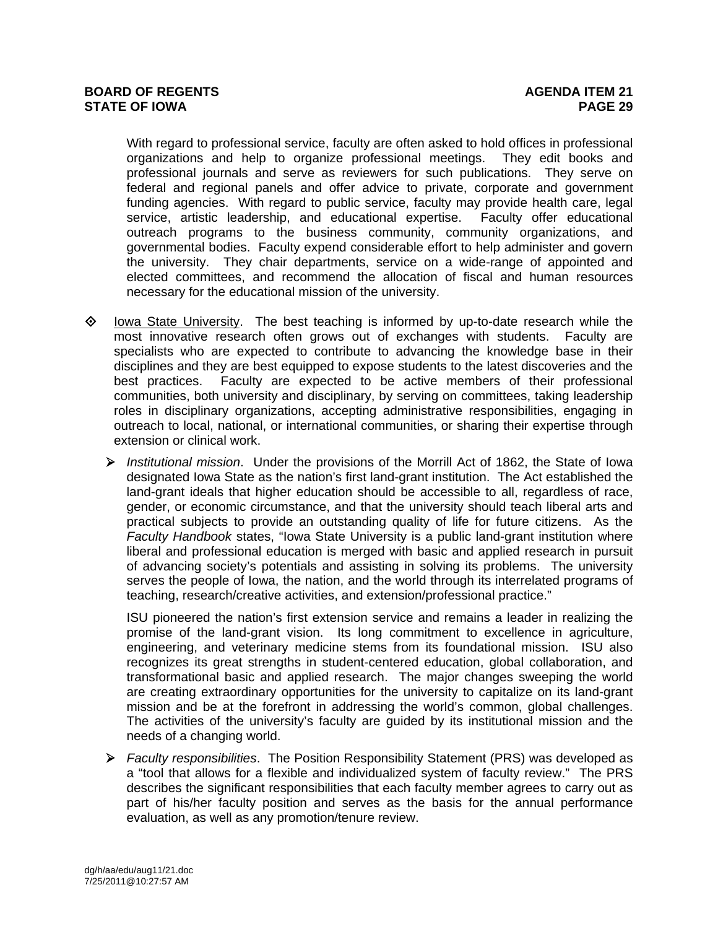With regard to professional service, faculty are often asked to hold offices in professional organizations and help to organize professional meetings. They edit books and professional journals and serve as reviewers for such publications. They serve on federal and regional panels and offer advice to private, corporate and government funding agencies. With regard to public service, faculty may provide health care, legal service, artistic leadership, and educational expertise. Faculty offer educational outreach programs to the business community, community organizations, and governmental bodies. Faculty expend considerable effort to help administer and govern the university. They chair departments, service on a wide-range of appointed and elected committees, and recommend the allocation of fiscal and human resources necessary for the educational mission of the university.

- $\diamond$  Iowa State University. The best teaching is informed by up-to-date research while the most innovative research often grows out of exchanges with students. Faculty are specialists who are expected to contribute to advancing the knowledge base in their disciplines and they are best equipped to expose students to the latest discoveries and the best practices. Faculty are expected to be active members of their professional communities, both university and disciplinary, by serving on committees, taking leadership roles in disciplinary organizations, accepting administrative responsibilities, engaging in outreach to local, national, or international communities, or sharing their expertise through extension or clinical work.
	- *Institutional mission*. Under the provisions of the Morrill Act of 1862, the State of Iowa designated Iowa State as the nation's first land-grant institution. The Act established the land-grant ideals that higher education should be accessible to all, regardless of race, gender, or economic circumstance, and that the university should teach liberal arts and practical subjects to provide an outstanding quality of life for future citizens. As the *Faculty Handbook* states, "Iowa State University is a public land-grant institution where liberal and professional education is merged with basic and applied research in pursuit of advancing society's potentials and assisting in solving its problems. The university serves the people of Iowa, the nation, and the world through its interrelated programs of teaching, research/creative activities, and extension/professional practice."

ISU pioneered the nation's first extension service and remains a leader in realizing the promise of the land-grant vision. Its long commitment to excellence in agriculture, engineering, and veterinary medicine stems from its foundational mission. ISU also recognizes its great strengths in student-centered education, global collaboration, and transformational basic and applied research. The major changes sweeping the world are creating extraordinary opportunities for the university to capitalize on its land-grant mission and be at the forefront in addressing the world's common, global challenges. The activities of the university's faculty are guided by its institutional mission and the needs of a changing world.

 *Faculty responsibilities*. The Position Responsibility Statement (PRS) was developed as a "tool that allows for a flexible and individualized system of faculty review." The PRS describes the significant responsibilities that each faculty member agrees to carry out as part of his/her faculty position and serves as the basis for the annual performance evaluation, as well as any promotion/tenure review.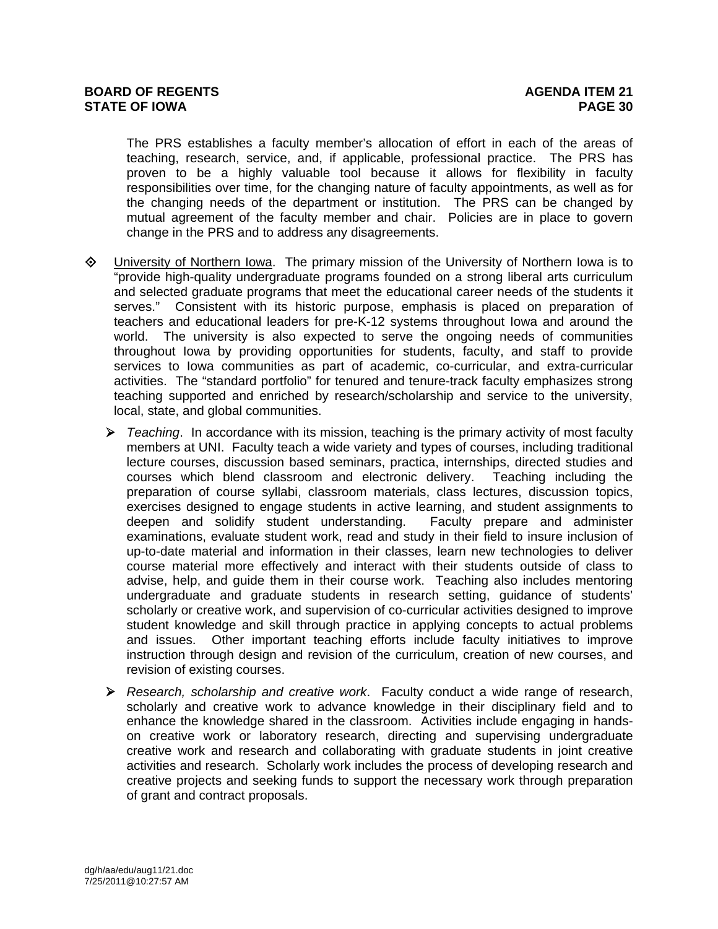The PRS establishes a faculty member's allocation of effort in each of the areas of teaching, research, service, and, if applicable, professional practice. The PRS has proven to be a highly valuable tool because it allows for flexibility in faculty responsibilities over time, for the changing nature of faculty appointments, as well as for the changing needs of the department or institution. The PRS can be changed by mutual agreement of the faculty member and chair. Policies are in place to govern change in the PRS and to address any disagreements.

- University of Northern Iowa. The primary mission of the University of Northern Iowa is to "provide high-quality undergraduate programs founded on a strong liberal arts curriculum and selected graduate programs that meet the educational career needs of the students it serves." Consistent with its historic purpose, emphasis is placed on preparation of teachers and educational leaders for pre-K-12 systems throughout Iowa and around the world. The university is also expected to serve the ongoing needs of communities throughout Iowa by providing opportunities for students, faculty, and staff to provide services to Iowa communities as part of academic, co-curricular, and extra-curricular activities. The "standard portfolio" for tenured and tenure-track faculty emphasizes strong teaching supported and enriched by research/scholarship and service to the university, local, state, and global communities.
	- *Teaching*. In accordance with its mission, teaching is the primary activity of most faculty members at UNI. Faculty teach a wide variety and types of courses, including traditional lecture courses, discussion based seminars, practica, internships, directed studies and courses which blend classroom and electronic delivery. Teaching including the preparation of course syllabi, classroom materials, class lectures, discussion topics, exercises designed to engage students in active learning, and student assignments to deepen and solidify student understanding. Faculty prepare and administer deepen and solidify student understanding. examinations, evaluate student work, read and study in their field to insure inclusion of up-to-date material and information in their classes, learn new technologies to deliver course material more effectively and interact with their students outside of class to advise, help, and guide them in their course work. Teaching also includes mentoring undergraduate and graduate students in research setting, guidance of students' scholarly or creative work, and supervision of co-curricular activities designed to improve student knowledge and skill through practice in applying concepts to actual problems and issues. Other important teaching efforts include faculty initiatives to improve instruction through design and revision of the curriculum, creation of new courses, and revision of existing courses.
	- *Research, scholarship and creative work*. Faculty conduct a wide range of research, scholarly and creative work to advance knowledge in their disciplinary field and to enhance the knowledge shared in the classroom. Activities include engaging in handson creative work or laboratory research, directing and supervising undergraduate creative work and research and collaborating with graduate students in joint creative activities and research. Scholarly work includes the process of developing research and creative projects and seeking funds to support the necessary work through preparation of grant and contract proposals.